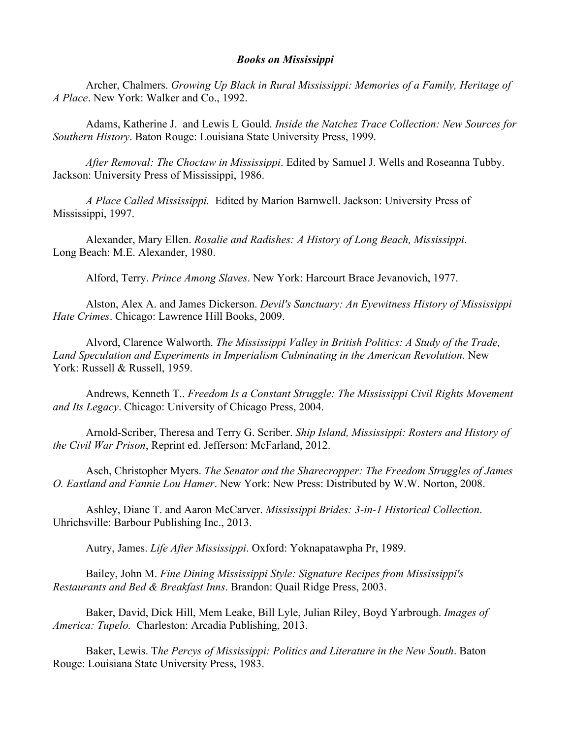## *Books on Mississippi*

Archer, Chalmers. *Growing Up Black in Rural Mississippi: Memories of a Family, Heritage of A Place*. New York: Walker and Co., 1992.

Adams, Katherine J. and Lewis L Gould. *Inside the Natchez Trace Collection: New Sources for Southern History*. Baton Rouge: Louisiana State University Press, 1999.

*After Removal: The Choctaw in Mississippi*. Edited by Samuel J. Wells and Roseanna Tubby. Jackson: University Press of Mississippi, 1986.

*A Place Called Mississippi.* Edited by Marion Barnwell. Jackson: University Press of Mississippi, 1997.

Alexander, Mary Ellen. *Rosalie and Radishes: A History of Long Beach, Mississippi*. Long Beach: M.E. Alexander, 1980.

Alford, Terry. *Prince Among Slaves*. New York: Harcourt Brace Jevanovich, 1977.

Alston, Alex A. and James Dickerson. *Devil's Sanctuary: An Eyewitness History of Mississippi Hate Crimes*. Chicago: Lawrence Hill Books, 2009.

Alvord, Clarence Walworth. *The Mississippi Valley in British Politics: A Study of the Trade, Land Speculation and Experiments in Imperialism Culminating in the American Revolution*. New York: Russell & Russell, 1959.

Andrews, Kenneth T.. *Freedom Is a Constant Struggle: The Mississippi Civil Rights Movement and Its Legacy*. Chicago: University of Chicago Press, 2004.

Arnold-Scriber, Theresa and Terry G. Scriber. *Ship Island, Mississippi: Rosters and History of the Civil War Prison*, Reprint ed. Jefferson: McFarland, 2012.

Asch, Christopher Myers. *The Senator and the Sharecropper: The Freedom Struggles of James O. Eastland and Fannie Lou Hamer*. New York: New Press: Distributed by W.W. Norton, 2008.

Ashley, Diane T. and Aaron McCarver. *Mississippi Brides: 3-in-1 Historical Collection*. Uhrichsville: Barbour Publishing Inc., 2013.

Autry, James. *Life After Mississippi*. Oxford: Yoknapatawpha Pr, 1989.

Bailey, John M. *Fine Dining Mississippi Style: Signature Recipes from Mississippi's Restaurants and Bed & Breakfast Inns*. Brandon: Quail Ridge Press, 2003.

Baker, David, Dick Hill, Mem Leake, Bill Lyle, Julian Riley, Boyd Yarbrough. *Images of America: Tupelo.* Charleston: Arcadia Publishing, 2013.

Baker, Lewis. T*he Percys of Mississippi: Politics and Literature in the New South*. Baton Rouge: Louisiana State University Press, 1983.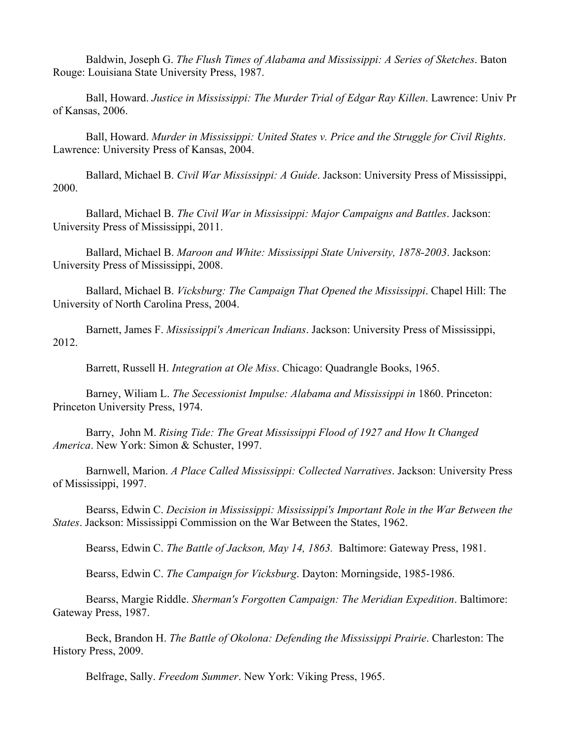Baldwin, Joseph G. *The Flush Times of Alabama and Mississippi: A Series of Sketches*. Baton Rouge: Louisiana State University Press, 1987.

Ball, Howard. *Justice in Mississippi: The Murder Trial of Edgar Ray Killen*. Lawrence: Univ Pr of Kansas, 2006.

Ball, Howard. *Murder in Mississippi: United States v. Price and the Struggle for Civil Rights*. Lawrence: University Press of Kansas, 2004.

Ballard, Michael B. *Civil War Mississippi: A Guide*. Jackson: University Press of Mississippi, 2000.

Ballard, Michael B. *The Civil War in Mississippi: Major Campaigns and Battles*. Jackson: University Press of Mississippi, 2011.

Ballard, Michael B. *Maroon and White: Mississippi State University, 1878-2003*. Jackson: University Press of Mississippi, 2008.

Ballard, Michael B. *Vicksburg: The Campaign That Opened the Mississippi*. Chapel Hill: The University of North Carolina Press, 2004.

Barnett, James F. *Mississippi's American Indians*. Jackson: University Press of Mississippi, 2012.

Barrett, Russell H. *Integration at Ole Miss*. Chicago: Quadrangle Books, 1965.

Barney, Wiliam L. *The Secessionist Impulse: Alabama and Mississippi in* 1860. Princeton: Princeton University Press, 1974.

Barry, John M. *Rising Tide: The Great Mississippi Flood of 1927 and How It Changed America*. New York: Simon & Schuster, 1997.

Barnwell, Marion. *A Place Called Mississippi: Collected Narratives*. Jackson: University Press of Mississippi, 1997.

Bearss, Edwin C. *Decision in Mississippi: Mississippi's Important Role in the War Between the States*. Jackson: Mississippi Commission on the War Between the States, 1962.

Bearss, Edwin C. *The Battle of Jackson, May 14, 1863.* Baltimore: Gateway Press, 1981.

Bearss, Edwin C. *The Campaign for Vicksburg*. Dayton: Morningside, 1985-1986.

Bearss, Margie Riddle. *Sherman's Forgotten Campaign: The Meridian Expedition*. Baltimore: Gateway Press, 1987.

Beck, Brandon H. *The Battle of Okolona: Defending the Mississippi Prairie*. Charleston: The History Press, 2009.

Belfrage, Sally. *Freedom Summer*. New York: Viking Press, 1965.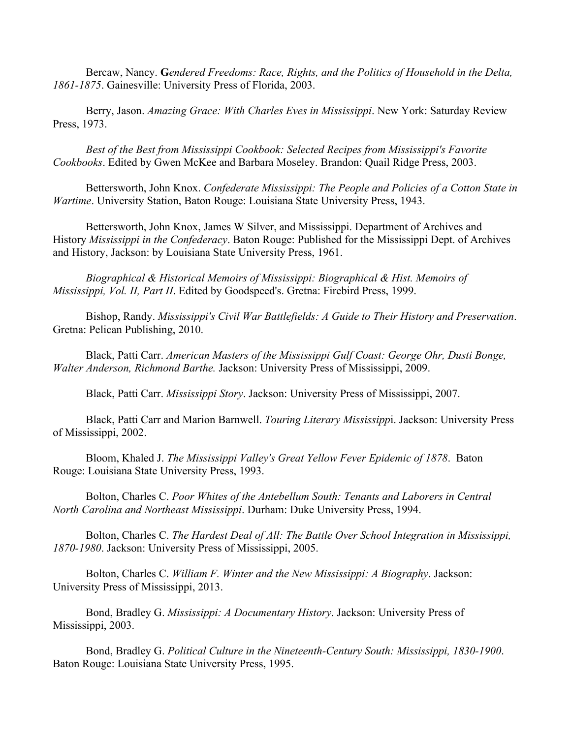Bercaw, Nancy. **G***endered Freedoms: Race, Rights, and the Politics of Household in the Delta, 1861-1875*. Gainesville: University Press of Florida, 2003.

Berry, Jason. *Amazing Grace: With Charles Eves in Mississippi*. New York: Saturday Review Press, 1973.

*Best of the Best from Mississippi Cookbook: Selected Recipes from Mississippi's Favorite Cookbooks*. Edited by Gwen McKee and Barbara Moseley. Brandon: Quail Ridge Press, 2003.

Bettersworth, John Knox. *Confederate Mississippi: The People and Policies of a Cotton State in Wartime*. University Station, Baton Rouge: Louisiana State University Press, 1943.

Bettersworth, John Knox, James W Silver, and Mississippi. Department of Archives and History *Mississippi in the Confederacy*. Baton Rouge: Published for the Mississippi Dept. of Archives and History, Jackson: by Louisiana State University Press, 1961.

*Biographical & Historical Memoirs of Mississippi: Biographical & Hist. Memoirs of Mississippi, Vol. II, Part II*. Edited by Goodspeed's. Gretna: Firebird Press, 1999.

Bishop, Randy. *Mississippi's Civil War Battlefields: A Guide to Their History and Preservation*. Gretna: Pelican Publishing, 2010.

Black, Patti Carr. *American Masters of the Mississippi Gulf Coast: George Ohr, Dusti Bonge, Walter Anderson, Richmond Barthe.* Jackson: University Press of Mississippi, 2009.

Black, Patti Carr. *Mississippi Story*. Jackson: University Press of Mississippi, 2007.

Black, Patti Carr and Marion Barnwell. *Touring Literary Mississipp*i. Jackson: University Press of Mississippi, 2002.

Bloom, Khaled J. *The Mississippi Valley's Great Yellow Fever Epidemic of 1878*. Baton Rouge: Louisiana State University Press, 1993.

Bolton, Charles C. *Poor Whites of the Antebellum South: Tenants and Laborers in Central North Carolina and Northeast Mississippi*. Durham: Duke University Press, 1994.

Bolton, Charles C. *The Hardest Deal of All: The Battle Over School Integration in Mississippi, 1870-1980*. Jackson: University Press of Mississippi, 2005.

Bolton, Charles C. *William F. Winter and the New Mississippi: A Biography*. Jackson: University Press of Mississippi, 2013.

Bond, Bradley G. *Mississippi: A Documentary History*. Jackson: University Press of Mississippi, 2003.

Bond, Bradley G. *Political Culture in the Nineteenth-Century South: Mississippi, 1830-1900*. Baton Rouge: Louisiana State University Press, 1995.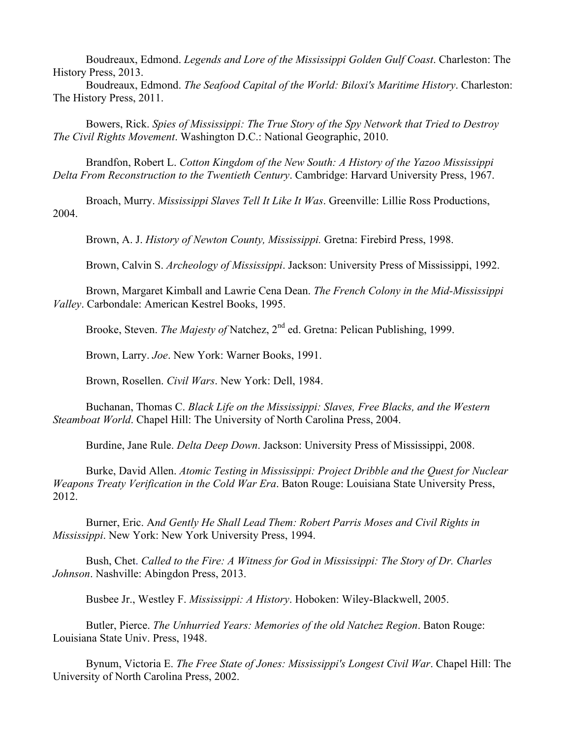Boudreaux, Edmond. *Legends and Lore of the Mississippi Golden Gulf Coast*. Charleston: The History Press, 2013.

Boudreaux, Edmond. *The Seafood Capital of the World: Biloxi's Maritime History*. Charleston: The History Press, 2011.

Bowers, Rick. *Spies of Mississippi: The True Story of the Spy Network that Tried to Destroy The Civil Rights Movement*. Washington D.C.: National Geographic, 2010.

Brandfon, Robert L. *Cotton Kingdom of the New South: A History of the Yazoo Mississippi Delta From Reconstruction to the Twentieth Century*. Cambridge: Harvard University Press, 1967.

Broach, Murry. *Mississippi Slaves Tell It Like It Was*. Greenville: Lillie Ross Productions, 2004.

Brown, A. J. *History of Newton County, Mississippi.* Gretna: Firebird Press, 1998.

Brown, Calvin S. *Archeology of Mississippi*. Jackson: University Press of Mississippi, 1992.

Brown, Margaret Kimball and Lawrie Cena Dean. *The French Colony in the Mid-Mississippi Valley*. Carbondale: American Kestrel Books, 1995.

Brooke, Steven. *The Majesty of* Natchez, 2<sup>nd</sup> ed. Gretna: Pelican Publishing, 1999.

Brown, Larry. *Joe*. New York: Warner Books, 1991.

Brown, Rosellen. *Civil Wars*. New York: Dell, 1984.

Buchanan, Thomas C. *Black Life on the Mississippi: Slaves, Free Blacks, and the Western Steamboat World*. Chapel Hill: The University of North Carolina Press, 2004.

Burdine, Jane Rule. *Delta Deep Down*. Jackson: University Press of Mississippi, 2008.

Burke, David Allen. *Atomic Testing in Mississippi: Project Dribble and the Quest for Nuclear Weapons Treaty Verification in the Cold War Era*. Baton Rouge: Louisiana State University Press, 2012.

Burner, Eric. A*nd Gently He Shall Lead Them: Robert Parris Moses and Civil Rights in Mississippi*. New York: New York University Press, 1994.

Bush, Chet. *Called to the Fire: A Witness for God in Mississippi: The Story of Dr. Charles Johnson*. Nashville: Abingdon Press, 2013.

Busbee Jr., Westley F. *Mississippi: A History*. Hoboken: Wiley-Blackwell, 2005.

Butler, Pierce. *The Unhurried Years: Memories of the old Natchez Region*. Baton Rouge: Louisiana State Univ. Press, 1948.

Bynum, Victoria E. *The Free State of Jones: Mississippi's Longest Civil War*. Chapel Hill: The University of North Carolina Press, 2002.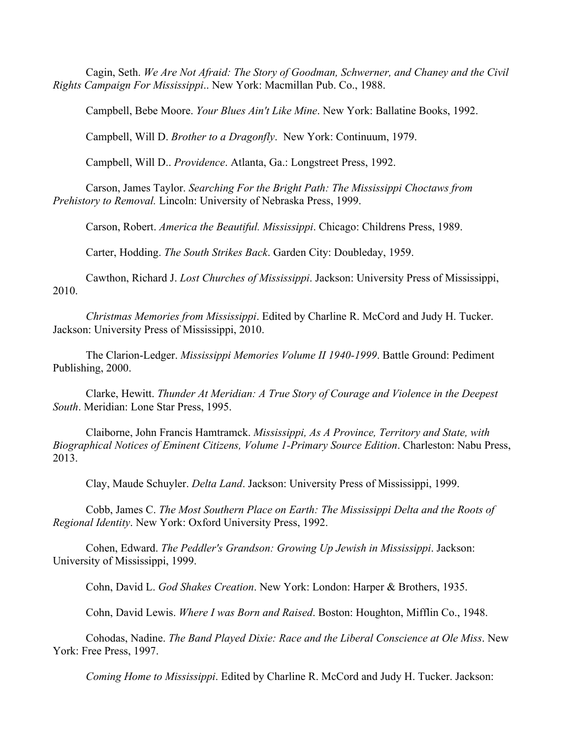Cagin, Seth. *We Are Not Afraid: The Story of Goodman, Schwerner, and Chaney and the Civil Rights Campaign For Mississippi*.. New York: Macmillan Pub. Co., 1988.

Campbell, Bebe Moore. *Your Blues Ain't Like Mine*. New York: Ballatine Books, 1992.

Campbell, Will D. *Brother to a Dragonfly*. New York: Continuum, 1979.

Campbell, Will D.. *Providence*. Atlanta, Ga.: Longstreet Press, 1992.

Carson, James Taylor. *Searching For the Bright Path: The Mississippi Choctaws from Prehistory to Removal.* Lincoln: University of Nebraska Press, 1999.

Carson, Robert. *America the Beautiful. Mississippi*. Chicago: Childrens Press, 1989.

Carter, Hodding. *The South Strikes Back*. Garden City: Doubleday, 1959.

Cawthon, Richard J. *Lost Churches of Mississippi*. Jackson: University Press of Mississippi, 2010.

*Christmas Memories from Mississippi*. Edited by Charline R. McCord and Judy H. Tucker. Jackson: University Press of Mississippi, 2010.

The Clarion-Ledger. *Mississippi Memories Volume II 1940-1999*. Battle Ground: Pediment Publishing, 2000.

Clarke, Hewitt. *Thunder At Meridian: A True Story of Courage and Violence in the Deepest South*. Meridian: Lone Star Press, 1995.

Claiborne, John Francis Hamtramck. *Mississippi, As A Province, Territory and State, with Biographical Notices of Eminent Citizens, Volume 1-Primary Source Edition*. Charleston: Nabu Press, 2013.

Clay, Maude Schuyler. *Delta Land*. Jackson: University Press of Mississippi, 1999.

Cobb, James C. *The Most Southern Place on Earth: The Mississippi Delta and the Roots of Regional Identity*. New York: Oxford University Press, 1992.

Cohen, Edward. *The Peddler's Grandson: Growing Up Jewish in Mississippi*. Jackson: University of Mississippi, 1999.

Cohn, David L. *God Shakes Creation*. New York: London: Harper & Brothers, 1935.

Cohn, David Lewis. *Where I was Born and Raised*. Boston: Houghton, Mifflin Co., 1948.

Cohodas, Nadine. *The Band Played Dixie: Race and the Liberal Conscience at Ole Miss*. New York: Free Press, 1997.

*Coming Home to Mississippi*. Edited by Charline R. McCord and Judy H. Tucker. Jackson: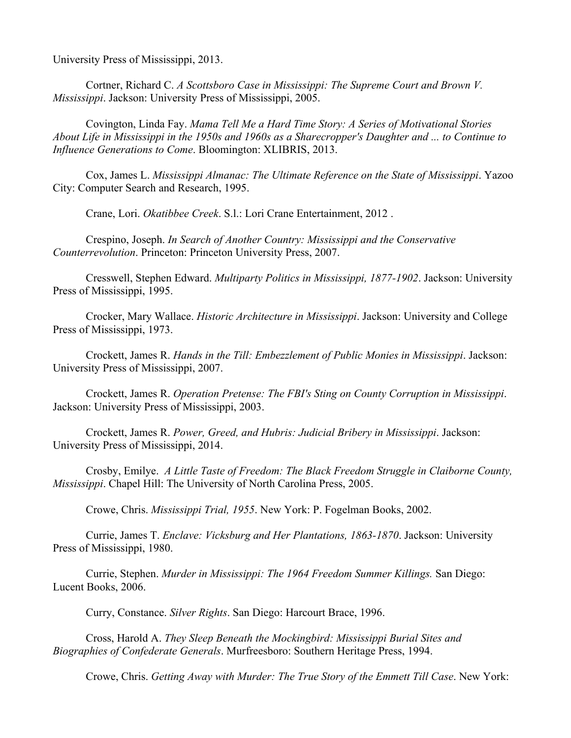University Press of Mississippi, 2013.

Cortner, Richard C. *A Scottsboro Case in Mississippi: The Supreme Court and Brown V. Mississippi*. Jackson: University Press of Mississippi, 2005.

Covington, Linda Fay. *Mama Tell Me a Hard Time Story: A Series of Motivational Stories About Life in Mississippi in the 1950s and 1960s as a Sharecropper's Daughter and ... to Continue to Influence Generations to Come*. Bloomington: XLIBRIS, 2013.

Cox, James L. *Mississippi Almanac: The Ultimate Reference on the State of Mississippi*. Yazoo City: Computer Search and Research, 1995.

Crane, Lori. *Okatibbee Creek*. S.l.: Lori Crane Entertainment, 2012 .

Crespino, Joseph. *In Search of Another Country: Mississippi and the Conservative Counterrevolution*. Princeton: Princeton University Press, 2007.

Cresswell, Stephen Edward. *Multiparty Politics in Mississippi, 1877-1902*. Jackson: University Press of Mississippi, 1995.

Crocker, Mary Wallace. *Historic Architecture in Mississippi*. Jackson: University and College Press of Mississippi, 1973.

Crockett, James R. *Hands in the Till: Embezzlement of Public Monies in Mississippi*. Jackson: University Press of Mississippi, 2007.

Crockett, James R. *Operation Pretense: The FBI's Sting on County Corruption in Mississippi*. Jackson: University Press of Mississippi, 2003.

Crockett, James R. *Power, Greed, and Hubris: Judicial Bribery in Mississippi*. Jackson: University Press of Mississippi, 2014.

Crosby, Emilye. *A Little Taste of Freedom: The Black Freedom Struggle in Claiborne County, Mississippi*. Chapel Hill: The University of North Carolina Press, 2005.

Crowe, Chris. *Mississippi Trial, 1955*. New York: P. Fogelman Books, 2002.

Currie, James T. *Enclave: Vicksburg and Her Plantations, 1863-1870*. Jackson: University Press of Mississippi, 1980.

Currie, Stephen. *Murder in Mississippi: The 1964 Freedom Summer Killings.* San Diego: Lucent Books, 2006.

Curry, Constance. *Silver Rights*. San Diego: Harcourt Brace, 1996.

Cross, Harold A. *They Sleep Beneath the Mockingbird: Mississippi Burial Sites and Biographies of Confederate Generals*. Murfreesboro: Southern Heritage Press, 1994.

Crowe, Chris. *Getting Away with Murder: The True Story of the Emmett Till Case*. New York: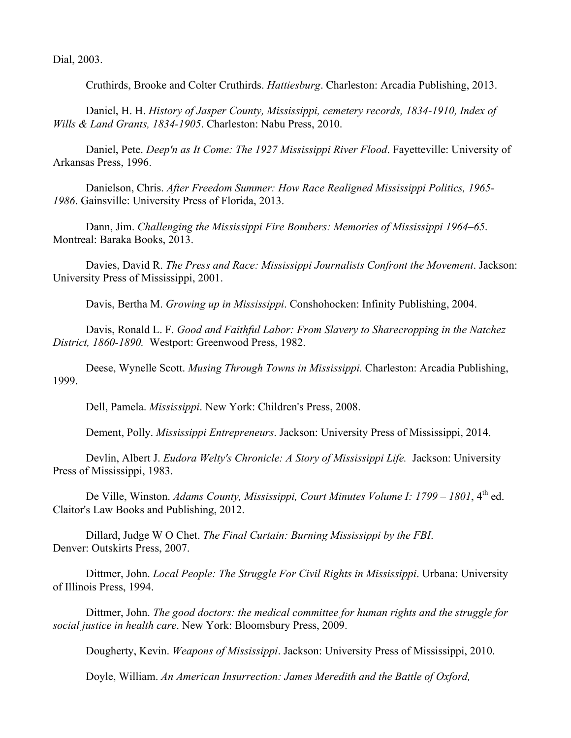Dial, 2003.

Cruthirds, Brooke and Colter Cruthirds. *Hattiesburg*. Charleston: Arcadia Publishing, 2013.

Daniel, H. H. *History of Jasper County, Mississippi, cemetery records, 1834-1910, Index of Wills & Land Grants, 1834-1905*. Charleston: Nabu Press, 2010.

Daniel, Pete. *Deep'n as It Come: The 1927 Mississippi River Flood*. Fayetteville: University of Arkansas Press, 1996.

Danielson, Chris. *After Freedom Summer: How Race Realigned Mississippi Politics, 1965- 1986*. Gainsville: University Press of Florida, 2013.

Dann, Jim. *Challenging the Mississippi Fire Bombers: Memories of Mississippi 1964–65*. Montreal: Baraka Books, 2013.

Davies, David R. *The Press and Race: Mississippi Journalists Confront the Movement*. Jackson: University Press of Mississippi, 2001.

Davis, Bertha M. *Growing up in Mississippi*. Conshohocken: Infinity Publishing, 2004.

Davis, Ronald L. F. *Good and Faithful Labor: From Slavery to Sharecropping in the Natchez District, 1860-1890.* Westport: Greenwood Press, 1982.

Deese, Wynelle Scott. *Musing Through Towns in Mississippi.* Charleston: Arcadia Publishing, 1999.

Dell, Pamela. *Mississippi*. New York: Children's Press, 2008.

Dement, Polly. *Mississippi Entrepreneurs*. Jackson: University Press of Mississippi, 2014.

Devlin, Albert J. *Eudora Welty's Chronicle: A Story of Mississippi Life.* Jackson: University Press of Mississippi, 1983.

De Ville, Winston. *Adams County, Mississippi, Court Minutes Volume I: 1799 – 1801*, 4<sup>th</sup> ed. Claitor's Law Books and Publishing, 2012.

Dillard, Judge W O Chet. *The Final Curtain: Burning Mississippi by the FBI*. Denver: Outskirts Press, 2007.

Dittmer, John. *Local People: The Struggle For Civil Rights in Mississippi*. Urbana: University of Illinois Press, 1994.

Dittmer, John. *The good doctors: the medical committee for human rights and the struggle for social justice in health care*. New York: Bloomsbury Press, 2009.

Dougherty, Kevin. *Weapons of Mississippi*. Jackson: University Press of Mississippi, 2010.

Doyle, William. *An American Insurrection: James Meredith and the Battle of Oxford,*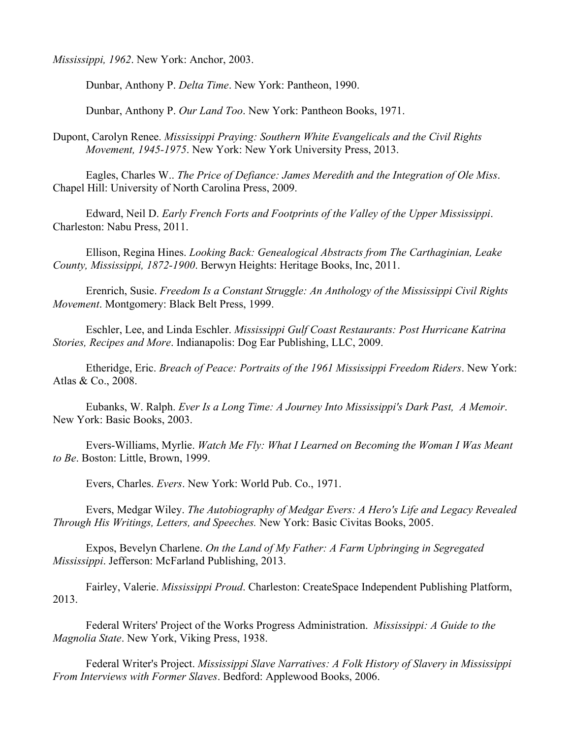*Mississippi, 1962*. New York: Anchor, 2003.

Dunbar, Anthony P. *Delta Time*. New York: Pantheon, 1990.

Dunbar, Anthony P. *Our Land Too*. New York: Pantheon Books, 1971.

Dupont, Carolyn Renee. *Mississippi Praying: Southern White Evangelicals and the Civil Rights Movement, 1945-1975*. New York: New York University Press, 2013.

Eagles, Charles W.. *The Price of Defiance: James Meredith and the Integration of Ole Miss*. Chapel Hill: University of North Carolina Press, 2009.

Edward, Neil D. *Early French Forts and Footprints of the Valley of the Upper Mississippi*. Charleston: Nabu Press, 2011.

Ellison, Regina Hines. *Looking Back: Genealogical Abstracts from The Carthaginian, Leake County, Mississippi, 1872-1900*. Berwyn Heights: Heritage Books, Inc, 2011.

Erenrich, Susie. *Freedom Is a Constant Struggle: An Anthology of the Mississippi Civil Rights Movement*. Montgomery: Black Belt Press, 1999.

Eschler, Lee, and Linda Eschler. *Mississippi Gulf Coast Restaurants: Post Hurricane Katrina Stories, Recipes and More*. Indianapolis: Dog Ear Publishing, LLC, 2009.

Etheridge, Eric. *Breach of Peace: Portraits of the 1961 Mississippi Freedom Riders*. New York: Atlas & Co., 2008.

Eubanks, W. Ralph. *Ever Is a Long Time: A Journey Into Mississippi's Dark Past, A Memoir*. New York: Basic Books, 2003.

Evers-Williams, Myrlie. *Watch Me Fly: What I Learned on Becoming the Woman I Was Meant to Be*. Boston: Little, Brown, 1999.

Evers, Charles. *Evers*. New York: World Pub. Co., 1971.

Evers, Medgar Wiley. *The Autobiography of Medgar Evers: A Hero's Life and Legacy Revealed Through His Writings, Letters, and Speeches.* New York: Basic Civitas Books, 2005.

Expos, Bevelyn Charlene. *On the Land of My Father: A Farm Upbringing in Segregated Mississippi*. Jefferson: McFarland Publishing, 2013.

Fairley, Valerie. *Mississippi Proud*. Charleston: CreateSpace Independent Publishing Platform, 2013.

Federal Writers' Project of the Works Progress Administration. *Mississippi: A Guide to the Magnolia State*. New York, Viking Press, 1938.

Federal Writer's Project. *Mississippi Slave Narratives: A Folk History of Slavery in Mississippi From Interviews with Former Slaves*. Bedford: Applewood Books, 2006.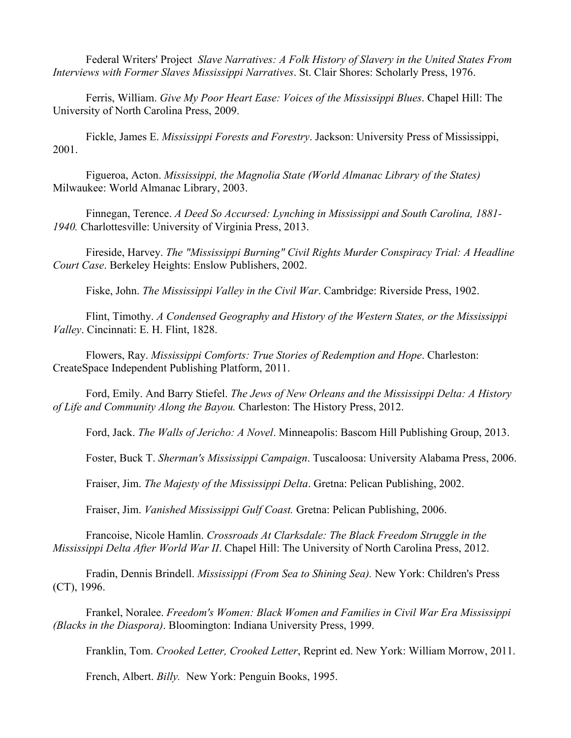Federal Writers' Project *Slave Narratives: A Folk History of Slavery in the United States From Interviews with Former Slaves Mississippi Narratives*. St. Clair Shores: Scholarly Press, 1976.

Ferris, William. *Give My Poor Heart Ease: Voices of the Mississippi Blues*. Chapel Hill: The University of North Carolina Press, 2009.

Fickle, James E. *Mississippi Forests and Forestry*. Jackson: University Press of Mississippi, 2001.

Figueroa, Acton. *Mississippi, the Magnolia State (World Almanac Library of the States)* Milwaukee: World Almanac Library, 2003.

Finnegan, Terence. *A Deed So Accursed: Lynching in Mississippi and South Carolina, 1881- 1940.* Charlottesville: University of Virginia Press, 2013.

Fireside, Harvey. *The "Mississippi Burning" Civil Rights Murder Conspiracy Trial: A Headline Court Case*. Berkeley Heights: Enslow Publishers, 2002.

Fiske, John. *The Mississippi Valley in the Civil War*. Cambridge: Riverside Press, 1902.

Flint, Timothy. *A Condensed Geography and History of the Western States, or the Mississippi Valley*. Cincinnati: E. H. Flint, 1828.

Flowers, Ray. *Mississippi Comforts: True Stories of Redemption and Hope*. Charleston: CreateSpace Independent Publishing Platform, 2011.

Ford, Emily. And Barry Stiefel. *The Jews of New Orleans and the Mississippi Delta: A History of Life and Community Along the Bayou.* Charleston: The History Press, 2012.

Ford, Jack. *The Walls of Jericho: A Novel*. Minneapolis: Bascom Hill Publishing Group, 2013.

Foster, Buck T. *Sherman's Mississippi Campaign*. Tuscaloosa: University Alabama Press, 2006.

Fraiser, Jim. *The Majesty of the Mississippi Delta*. Gretna: Pelican Publishing, 2002.

Fraiser, Jim. *Vanished Mississippi Gulf Coast.* Gretna: Pelican Publishing, 2006.

Francoise, Nicole Hamlin. *Crossroads At Clarksdale: The Black Freedom Struggle in the Mississippi Delta After World War II*. Chapel Hill: The University of North Carolina Press, 2012.

Fradin, Dennis Brindell. *Mississippi (From Sea to Shining Sea).* New York: Children's Press (CT), 1996.

Frankel, Noralee. *Freedom's Women: Black Women and Families in Civil War Era Mississippi (Blacks in the Diaspora)*. Bloomington: Indiana University Press, 1999.

Franklin, Tom. *Crooked Letter, Crooked Letter*, Reprint ed. New York: William Morrow, 2011.

French, Albert. *Billy.* New York: Penguin Books, 1995.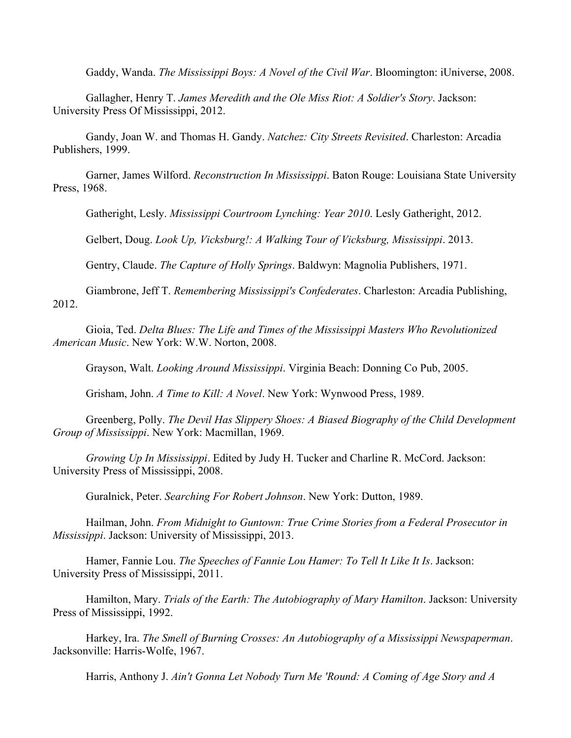Gaddy, Wanda. *The Mississippi Boys: A Novel of the Civil War*. Bloomington: iUniverse, 2008.

Gallagher, Henry T. *James Meredith and the Ole Miss Riot: A Soldier's Story*. Jackson: University Press Of Mississippi, 2012.

Gandy, Joan W. and Thomas H. Gandy. *Natchez: City Streets Revisited*. Charleston: Arcadia Publishers, 1999.

Garner, James Wilford. *Reconstruction In Mississippi*. Baton Rouge: Louisiana State University Press, 1968.

Gatheright, Lesly. *Mississippi Courtroom Lynching: Year 2010*. Lesly Gatheright, 2012.

Gelbert, Doug. *Look Up, Vicksburg!: A Walking Tour of Vicksburg, Mississippi*. 2013.

Gentry, Claude. *The Capture of Holly Springs*. Baldwyn: Magnolia Publishers, 1971.

Giambrone, Jeff T. *Remembering Mississippi's Confederates*. Charleston: Arcadia Publishing, 2012.

Gioia, Ted. *Delta Blues: The Life and Times of the Mississippi Masters Who Revolutionized American Music*. New York: W.W. Norton, 2008.

Grayson, Walt. *Looking Around Mississippi*. Virginia Beach: Donning Co Pub, 2005.

Grisham, John. *A Time to Kill: A Novel*. New York: Wynwood Press, 1989.

Greenberg, Polly. *The Devil Has Slippery Shoes: A Biased Biography of the Child Development Group of Mississippi*. New York: Macmillan, 1969.

*Growing Up In Mississippi*. Edited by Judy H. Tucker and Charline R. McCord. Jackson: University Press of Mississippi, 2008.

Guralnick, Peter. *Searching For Robert Johnson*. New York: Dutton, 1989.

Hailman, John. *From Midnight to Guntown: True Crime Stories from a Federal Prosecutor in Mississippi*. Jackson: University of Mississippi, 2013.

Hamer, Fannie Lou. *The Speeches of Fannie Lou Hamer: To Tell It Like It Is*. Jackson: University Press of Mississippi, 2011.

Hamilton, Mary. *Trials of the Earth: The Autobiography of Mary Hamilton*. Jackson: University Press of Mississippi, 1992.

Harkey, Ira. *The Smell of Burning Crosses: An Autobiography of a Mississippi Newspaperman*. Jacksonville: Harris-Wolfe, 1967.

Harris, Anthony J. *Ain't Gonna Let Nobody Turn Me 'Round: A Coming of Age Story and A*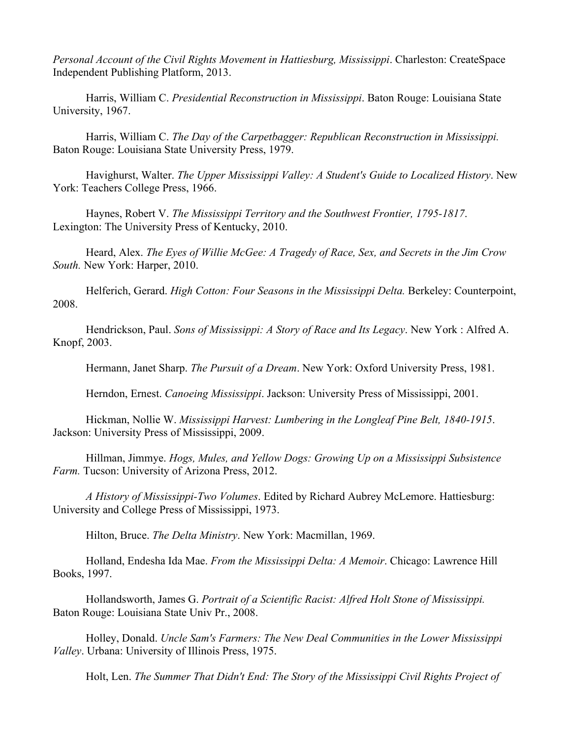*Personal Account of the Civil Rights Movement in Hattiesburg, Mississippi*. Charleston: CreateSpace Independent Publishing Platform, 2013.

Harris, William C. *Presidential Reconstruction in Mississippi*. Baton Rouge: Louisiana State University, 1967.

Harris, William C. *The Day of the Carpetbagger: Republican Reconstruction in Mississippi.*  Baton Rouge: Louisiana State University Press, 1979.

Havighurst, Walter. *The Upper Mississippi Valley: A Student's Guide to Localized History*. New York: Teachers College Press, 1966.

Haynes, Robert V. *The Mississippi Territory and the Southwest Frontier, 1795-1817*. Lexington: The University Press of Kentucky, 2010.

Heard, Alex. *The Eyes of Willie McGee: A Tragedy of Race, Sex, and Secrets in the Jim Crow South.* New York: Harper, 2010.

Helferich, Gerard. *High Cotton: Four Seasons in the Mississippi Delta.* Berkeley: Counterpoint, 2008.

Hendrickson, Paul. *Sons of Mississippi: A Story of Race and Its Legacy*. New York : Alfred A. Knopf, 2003.

Hermann, Janet Sharp. *The Pursuit of a Dream*. New York: Oxford University Press, 1981.

Herndon, Ernest. *Canoeing Mississippi*. Jackson: University Press of Mississippi, 2001.

Hickman, Nollie W. *Mississippi Harvest: Lumbering in the Longleaf Pine Belt, 1840-1915*. Jackson: University Press of Mississippi, 2009.

Hillman, Jimmye. *Hogs, Mules, and Yellow Dogs: Growing Up on a Mississippi Subsistence Farm.* Tucson: University of Arizona Press, 2012.

*A History of Mississippi-Two Volumes*. Edited by Richard Aubrey McLemore. Hattiesburg: University and College Press of Mississippi, 1973.

Hilton, Bruce. *The Delta Ministry*. New York: Macmillan, 1969.

Holland, Endesha Ida Mae. *From the Mississippi Delta: A Memoir*. Chicago: Lawrence Hill Books, 1997.

Hollandsworth, James G. *Portrait of a Scientific Racist: Alfred Holt Stone of Mississippi.* Baton Rouge: Louisiana State Univ Pr., 2008.

Holley, Donald. *Uncle Sam's Farmers: The New Deal Communities in the Lower Mississippi Valley*. Urbana: University of Illinois Press, 1975.

Holt, Len. *The Summer That Didn't End: The Story of the Mississippi Civil Rights Project of*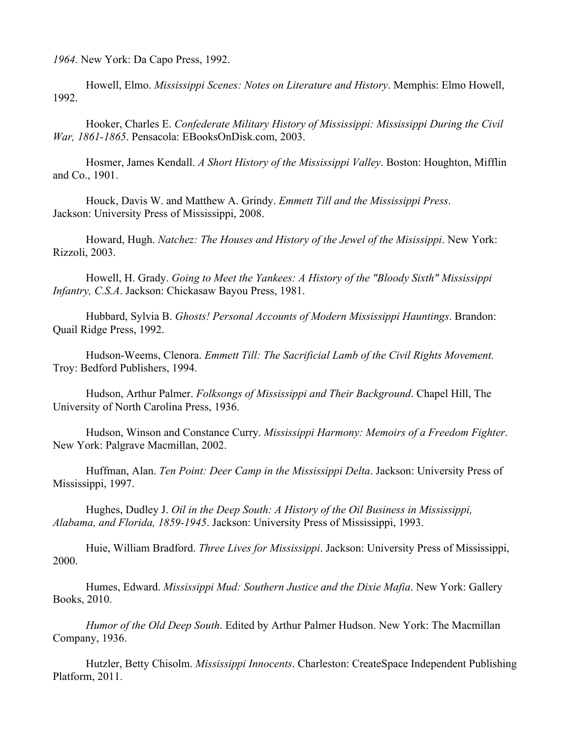*1964*. New York: Da Capo Press, 1992.

Howell, Elmo. *Mississippi Scenes: Notes on Literature and History*. Memphis: Elmo Howell, 1992.

Hooker, Charles E. *Confederate Military History of Mississippi: Mississippi During the Civil War, 1861-1865*. Pensacola: EBooksOnDisk.com, 2003.

Hosmer, James Kendall. *A Short History of the Mississippi Valley*. Boston: Houghton, Mifflin and Co., 1901.

Houck, Davis W. and Matthew A. Grindy. *Emmett Till and the Mississippi Press*. Jackson: University Press of Mississippi, 2008.

Howard, Hugh. *Natchez: The Houses and History of the Jewel of the Misissippi*. New York: Rizzoli, 2003.

Howell, H. Grady. *Going to Meet the Yankees: A History of the "Bloody Sixth" Mississippi Infantry, C.S.A*. Jackson: Chickasaw Bayou Press, 1981.

Hubbard, Sylvia B. *Ghosts! Personal Accounts of Modern Mississippi Hauntings*. Brandon: Quail Ridge Press, 1992.

Hudson-Weems, Clenora. *Emmett Till: The Sacrificial Lamb of the Civil Rights Movement.*  Troy: Bedford Publishers, 1994.

Hudson, Arthur Palmer. *Folksongs of Mississippi and Their Background*. Chapel Hill, The University of North Carolina Press, 1936.

Hudson, Winson and Constance Curry. *Mississippi Harmony: Memoirs of a Freedom Fighter*. New York: Palgrave Macmillan, 2002.

Huffman, Alan. *Ten Point: Deer Camp in the Mississippi Delta*. Jackson: University Press of Mississippi, 1997.

Hughes, Dudley J. *Oil in the Deep South: A History of the Oil Business in Mississippi, Alabama, and Florida, 1859-1945*. Jackson: University Press of Mississippi, 1993.

Huie, William Bradford. *Three Lives for Mississippi*. Jackson: University Press of Mississippi, 2000.

Humes, Edward. *Mississippi Mud: Southern Justice and the Dixie Mafia*. New York: Gallery Books, 2010.

*Humor of the Old Deep South*. Edited by Arthur Palmer Hudson. New York: The Macmillan Company, 1936.

Hutzler, Betty Chisolm. *Mississippi Innocents*. Charleston: CreateSpace Independent Publishing Platform, 2011.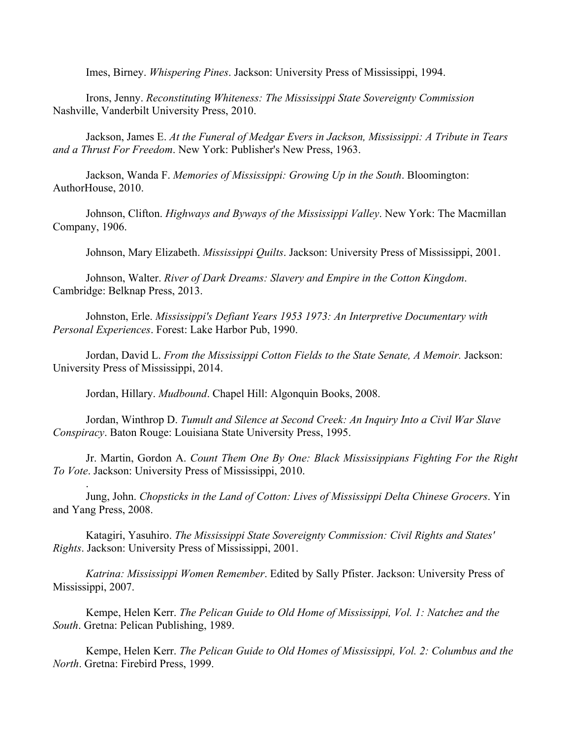Imes, Birney. *Whispering Pines*. Jackson: University Press of Mississippi, 1994.

Irons, Jenny. *Reconstituting Whiteness: The Mississippi State Sovereignty Commission* Nashville, Vanderbilt University Press, 2010.

Jackson, James E. *At the Funeral of Medgar Evers in Jackson, Mississippi: A Tribute in Tears and a Thrust For Freedom*. New York: Publisher's New Press, 1963.

Jackson, Wanda F. *Memories of Mississippi: Growing Up in the South*. Bloomington: AuthorHouse, 2010.

Johnson, Clifton. *Highways and Byways of the Mississippi Valley*. New York: The Macmillan Company, 1906.

Johnson, Mary Elizabeth. *Mississippi Quilts*. Jackson: University Press of Mississippi, 2001.

Johnson, Walter. *River of Dark Dreams: Slavery and Empire in the Cotton Kingdom*. Cambridge: Belknap Press, 2013.

Johnston, Erle. *Mississippi's Defiant Years 1953 1973: An Interpretive Documentary with Personal Experiences*. Forest: Lake Harbor Pub, 1990.

Jordan, David L. *From the Mississippi Cotton Fields to the State Senate, A Memoir.* Jackson: University Press of Mississippi, 2014.

Jordan, Hillary. *Mudbound*. Chapel Hill: Algonquin Books, 2008.

.

Jordan, Winthrop D. *Tumult and Silence at Second Creek: An Inquiry Into a Civil War Slave Conspiracy*. Baton Rouge: Louisiana State University Press, 1995.

Jr. Martin, Gordon A. *Count Them One By One: Black Mississippians Fighting For the Right To Vote*. Jackson: University Press of Mississippi, 2010.

Jung, John. *Chopsticks in the Land of Cotton: Lives of Mississippi Delta Chinese Grocers*. Yin and Yang Press, 2008.

Katagiri, Yasuhiro. *The Mississippi State Sovereignty Commission: Civil Rights and States' Rights*. Jackson: University Press of Mississippi, 2001.

*Katrina: Mississippi Women Remember*. Edited by Sally Pfister. Jackson: University Press of Mississippi, 2007.

Kempe, Helen Kerr. *The Pelican Guide to Old Home of Mississippi, Vol. 1: Natchez and the South*. Gretna: Pelican Publishing, 1989.

Kempe, Helen Kerr. *The Pelican Guide to Old Homes of Mississippi, Vol. 2: Columbus and the North*. Gretna: Firebird Press, 1999.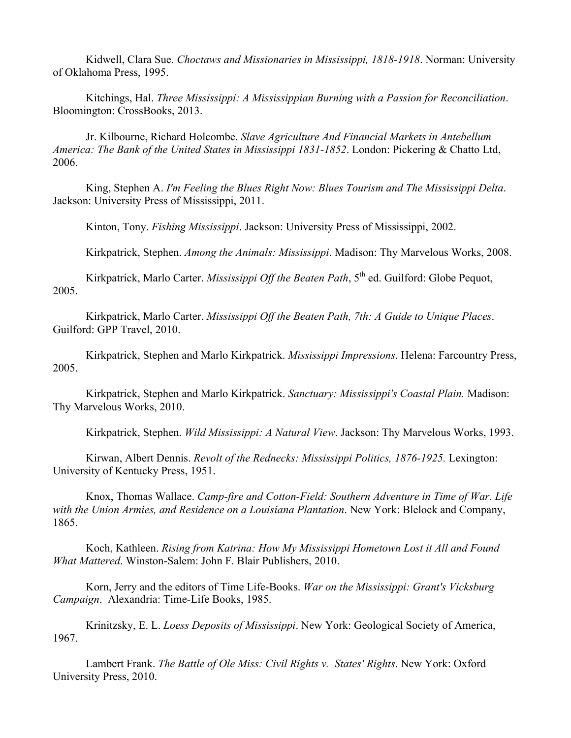Kidwell, Clara Sue. *Choctaws and Missionaries in Mississippi, 1818-1918*. Norman: University of Oklahoma Press, 1995.

Kitchings, Hal. *Three Mississippi: A Mississippian Burning with a Passion for Reconciliation*. Bloomington: CrossBooks, 2013.

Jr. Kilbourne, Richard Holcombe. *Slave Agriculture And Financial Markets in Antebellum America: The Bank of the United States in Mississippi 1831-1852*. London: Pickering & Chatto Ltd, 2006.

King, Stephen A. *I'm Feeling the Blues Right Now: Blues Tourism and The Mississippi Delta*. Jackson: University Press of Mississippi, 2011.

Kinton, Tony. *Fishing Mississippi*. Jackson: University Press of Mississippi, 2002.

Kirkpatrick, Stephen. *Among the Animals: Mississippi*. Madison: Thy Marvelous Works, 2008.

Kirkpatrick, Marlo Carter. *Mississippi Off the Beaten Path*, 5<sup>th</sup> ed. Guilford: Globe Pequot, 2005.

Kirkpatrick, Marlo Carter. *Mississippi Off the Beaten Path, 7th: A Guide to Unique Places*. Guilford: GPP Travel, 2010.

Kirkpatrick, Stephen and Marlo Kirkpatrick. *Mississippi Impressions*. Helena: Farcountry Press, 2005.

Kirkpatrick, Stephen and Marlo Kirkpatrick. *Sanctuary: Mississippi's Coastal Plain.* Madison: Thy Marvelous Works, 2010.

Kirkpatrick, Stephen. *Wild Mississippi: A Natural View*. Jackson: Thy Marvelous Works, 1993.

Kirwan, Albert Dennis. *Revolt of the Rednecks: Mississippi Politics, 1876-1925.* Lexington: University of Kentucky Press, 1951.

Knox, Thomas Wallace. *Camp-fire and Cotton-Field: Southern Adventure in Time of War. Life with the Union Armies, and Residence on a Louisiana Plantation*. New York: Blelock and Company, 1865.

Koch, Kathleen. *Rising from Katrina: How My Mississippi Hometown Lost it All and Found What Mattered*. Winston-Salem: John F. Blair Publishers, 2010.

Korn, Jerry and the editors of Time Life-Books. *War on the Mississippi: Grant's Vicksburg Campaign*. Alexandria: Time-Life Books, 1985.

Krinitzsky, E. L. *Loess Deposits of Mississippi*. New York: Geological Society of America, 1967.

Lambert Frank. *The Battle of Ole Miss: Civil Rights v. States' Rights*. New York: Oxford University Press, 2010.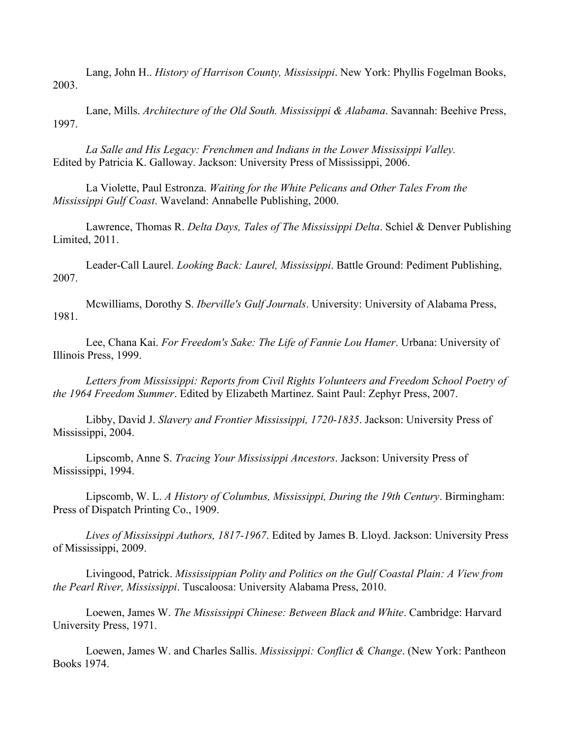Lang, John H.. *History of Harrison County, Mississippi*. New York: Phyllis Fogelman Books, 2003.

Lane, Mills. *Architecture of the Old South. Mississippi & Alabama*. Savannah: Beehive Press, 1997.

*La Salle and His Legacy: Frenchmen and Indians in the Lower Mississippi Valley.* Edited by Patricia K. Galloway. Jackson: University Press of Mississippi, 2006.

La Violette, Paul Estronza. *Waiting for the White Pelicans and Other Tales From the Mississippi Gulf Coast*. Waveland: Annabelle Publishing, 2000.

Lawrence, Thomas R. *Delta Days, Tales of The Mississippi Delta*. Schiel & Denver Publishing Limited, 2011.

Leader-Call Laurel. *Looking Back: Laurel, Mississippi*. Battle Ground: Pediment Publishing, 2007.

Mcwilliams, Dorothy S. *Iberville's Gulf Journals*. University: University of Alabama Press, 1981.

Lee, Chana Kai. *For Freedom's Sake: The Life of Fannie Lou Hamer*. Urbana: University of Illinois Press, 1999.

*Letters from Mississippi: Reports from Civil Rights Volunteers and Freedom School Poetry of the 1964 Freedom Summer*. Edited by Elizabeth Martinez. Saint Paul: Zephyr Press, 2007.

Libby, David J. *Slavery and Frontier Mississippi, 1720-1835*. Jackson: University Press of Mississippi, 2004.

Lipscomb, Anne S. *Tracing Your Mississippi Ancestors*. Jackson: University Press of Mississippi, 1994.

Lipscomb, W. L. *A History of Columbus, Mississippi, During the 19th Century*. Birmingham: Press of Dispatch Printing Co., 1909.

*Lives of Mississippi Authors, 1817-1967*. Edited by James B. Lloyd. Jackson: University Press of Mississippi, 2009.

Livingood, Patrick. *Mississippian Polity and Politics on the Gulf Coastal Plain: A View from the Pearl River, Mississippi*. Tuscaloosa: University Alabama Press, 2010.

Loewen, James W. *The Mississippi Chinese: Between Black and White*. Cambridge: Harvard University Press, 1971.

Loewen, James W. and Charles Sallis. *Mississippi: Conflict & Change*. (New York: Pantheon Books 1974.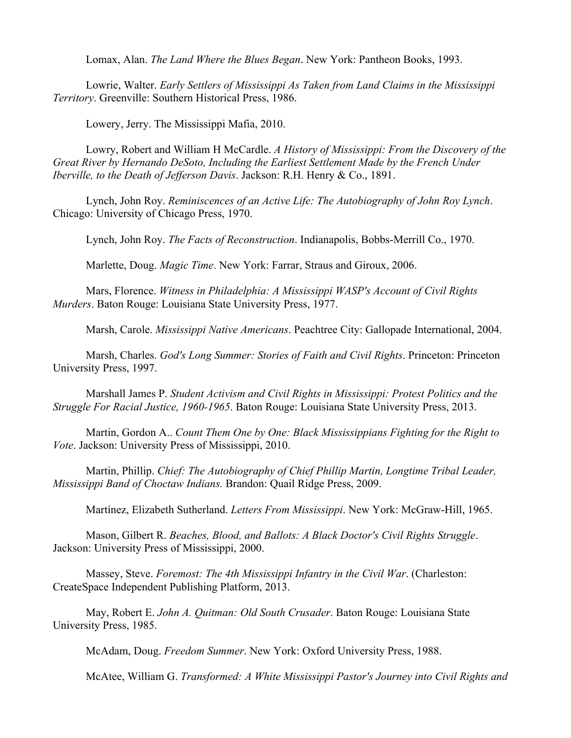Lomax, Alan. *The Land Where the Blues Began*. New York: Pantheon Books, 1993.

Lowrie, Walter. *Early Settlers of Mississippi As Taken from Land Claims in the Mississippi Territory*. Greenville: Southern Historical Press, 1986.

Lowery, Jerry. The Mississippi Mafia, 2010.

Lowry, Robert and William H McCardle. *A History of Mississippi: From the Discovery of the Great River by Hernando DeSoto, Including the Earliest Settlement Made by the French Under Iberville, to the Death of Jefferson Davis*. Jackson: R.H. Henry & Co., 1891.

Lynch, John Roy. *Reminiscences of an Active Life: The Autobiography of John Roy Lynch*. Chicago: University of Chicago Press, 1970.

Lynch, John Roy. *The Facts of Reconstruction*. Indianapolis, Bobbs-Merrill Co., 1970.

Marlette, Doug. *Magic Time*. New York: Farrar, Straus and Giroux, 2006.

Mars, Florence. *Witness in Philadelphia: A Mississippi WASP's Account of Civil Rights Murders*. Baton Rouge: Louisiana State University Press, 1977.

Marsh, Carole. *Mississippi Native Americans*. Peachtree City: Gallopade International, 2004.

Marsh, Charles. *God's Long Summer: Stories of Faith and Civil Rights*. Princeton: Princeton University Press, 1997.

Marshall James P. *Student Activism and Civil Rights in Mississippi: Protest Politics and the Struggle For Racial Justice, 1960-1965*. Baton Rouge: Louisiana State University Press, 2013.

Martin, Gordon A.. *Count Them One by One: Black Mississippians Fighting for the Right to Vote*. Jackson: University Press of Mississippi, 2010.

Martin, Phillip. *Chief: The Autobiography of Chief Phillip Martin, Longtime Tribal Leader, Mississippi Band of Choctaw Indians.* Brandon: Quail Ridge Press, 2009.

Martínez, Elizabeth Sutherland. *Letters From Mississippi*. New York: McGraw-Hill, 1965.

Mason, Gilbert R. *Beaches, Blood, and Ballots: A Black Doctor's Civil Rights Struggle*. Jackson: University Press of Mississippi, 2000.

Massey, Steve. *Foremost: The 4th Mississippi Infantry in the Civil War*. (Charleston: CreateSpace Independent Publishing Platform, 2013.

May, Robert E. *John A. Quitman: Old South Crusader*. Baton Rouge: Louisiana State University Press, 1985.

McAdam, Doug. *Freedom Summer*. New York: Oxford University Press, 1988.

McAtee, William G. *Transformed: A White Mississippi Pastor's Journey into Civil Rights and*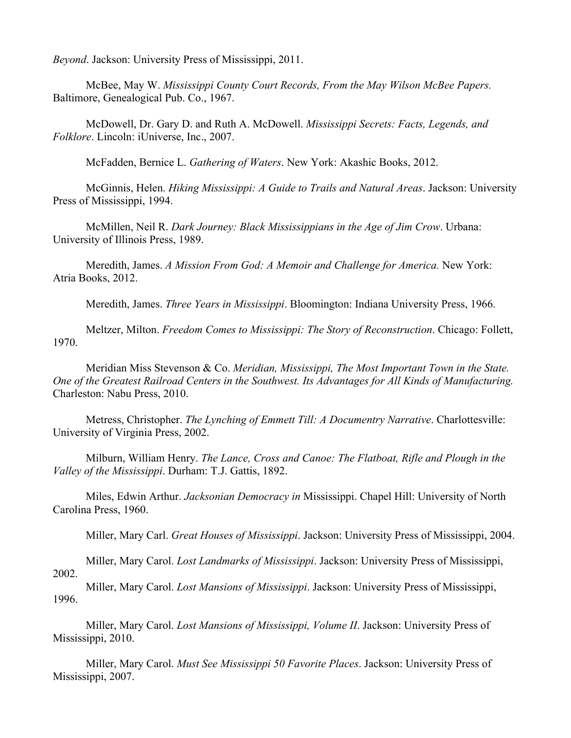*Beyond*. Jackson: University Press of Mississippi, 2011.

McBee, May W. *Mississippi County Court Records, From the May Wilson McBee Papers.* Baltimore, Genealogical Pub. Co., 1967.

McDowell, Dr. Gary D. and Ruth A. McDowell. *Mississippi Secrets: Facts, Legends, and Folklore*. Lincoln: iUniverse, Inc., 2007.

McFadden, Bernice L. *Gathering of Waters*. New York: Akashic Books, 2012.

McGinnis, Helen. *Hiking Mississippi: A Guide to Trails and Natural Areas*. Jackson: University Press of Mississippi, 1994.

McMillen, Neil R. *Dark Journey: Black Mississippians in the Age of Jim Crow*. Urbana: University of Illinois Press, 1989.

Meredith, James. *A Mission From God: A Memoir and Challenge for America.* New York: Atria Books, 2012.

Meredith, James. *Three Years in Mississippi*. Bloomington: Indiana University Press, 1966.

Meltzer, Milton. *Freedom Comes to Mississippi: The Story of Reconstruction*. Chicago: Follett, 1970.

Meridian Miss Stevenson & Co. *Meridian, Mississippi, The Most Important Town in the State. One of the Greatest Railroad Centers in the Southwest. Its Advantages for All Kinds of Manufacturing.* Charleston: Nabu Press, 2010.

Metress, Christopher. *The Lynching of Emmett Till: A Documentry Narrative*. Charlottesville: University of Virginia Press, 2002.

Milburn, William Henry. *The Lance, Cross and Canoe: The Flatboat, Rifle and Plough in the Valley of the Mississippi*. Durham: T.J. Gattis, 1892.

Miles, Edwin Arthur. *Jacksonian Democracy in* Mississippi. Chapel Hill: University of North Carolina Press, 1960.

Miller, Mary Carl. *Great Houses of Mississippi*. Jackson: University Press of Mississippi, 2004.

Miller, Mary Carol. *Lost Landmarks of Mississippi*. Jackson: University Press of Mississippi, 2002.

Miller, Mary Carol. *Lost Mansions of Mississippi*. Jackson: University Press of Mississippi, 1996.

Miller, Mary Carol. *Lost Mansions of Mississippi, Volume II*. Jackson: University Press of Mississippi, 2010.

Miller, Mary Carol. *Must See Mississippi 50 Favorite Places*. Jackson: University Press of Mississippi, 2007.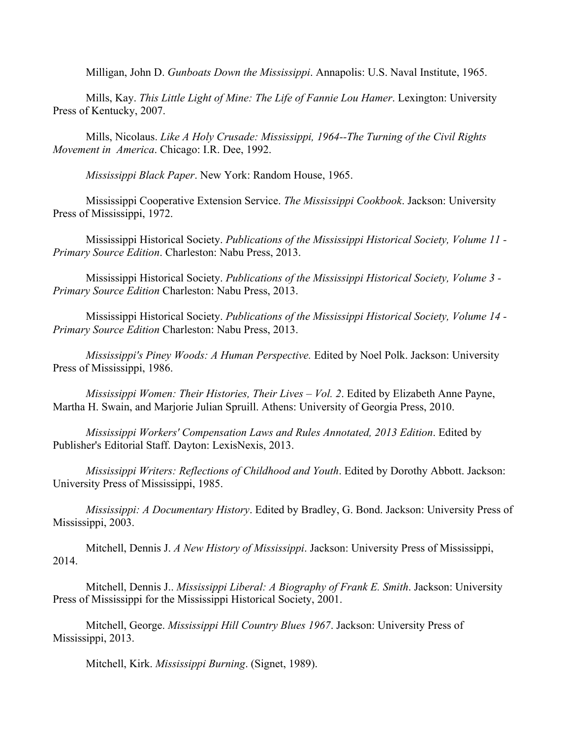Milligan, John D. *Gunboats Down the Mississippi*. Annapolis: U.S. Naval Institute, 1965.

Mills, Kay. *This Little Light of Mine: The Life of Fannie Lou Hamer*. Lexington: University Press of Kentucky, 2007.

Mills, Nicolaus. *Like A Holy Crusade: Mississippi, 1964--The Turning of the Civil Rights Movement in America*. Chicago: I.R. Dee, 1992.

*Mississippi Black Paper*. New York: Random House, 1965.

Mississippi Cooperative Extension Service. *The Mississippi Cookbook*. Jackson: University Press of Mississippi, 1972.

Mississippi Historical Society. *Publications of the Mississippi Historical Society, Volume 11 - Primary Source Edition*. Charleston: Nabu Press, 2013.

Mississippi Historical Society. *Publications of the Mississippi Historical Society, Volume 3 - Primary Source Edition* Charleston: Nabu Press, 2013.

Mississippi Historical Society. *Publications of the Mississippi Historical Society, Volume 14 - Primary Source Edition* Charleston: Nabu Press, 2013.

*Mississippi's Piney Woods: A Human Perspective.* Edited by Noel Polk. Jackson: University Press of Mississippi, 1986.

*Mississippi Women: Their Histories, Their Lives – Vol. 2*. Edited by Elizabeth Anne Payne, Martha H. Swain, and Marjorie Julian Spruill. Athens: University of Georgia Press, 2010.

*Mississippi Workers' Compensation Laws and Rules Annotated, 2013 Edition*. Edited by Publisher's Editorial Staff. Dayton: LexisNexis, 2013.

*Mississippi Writers: Reflections of Childhood and Youth*. Edited by Dorothy Abbott. Jackson: University Press of Mississippi, 1985.

*Mississippi: A Documentary History*. Edited by Bradley, G. Bond. Jackson: University Press of Mississippi, 2003.

Mitchell, Dennis J. *A New History of Mississippi*. Jackson: University Press of Mississippi, 2014.

Mitchell, Dennis J.. *Mississippi Liberal: A Biography of Frank E. Smith*. Jackson: University Press of Mississippi for the Mississippi Historical Society, 2001.

Mitchell, George. *Mississippi Hill Country Blues 1967*. Jackson: University Press of Mississippi, 2013.

Mitchell, Kirk. *Mississippi Burning*. (Signet, 1989).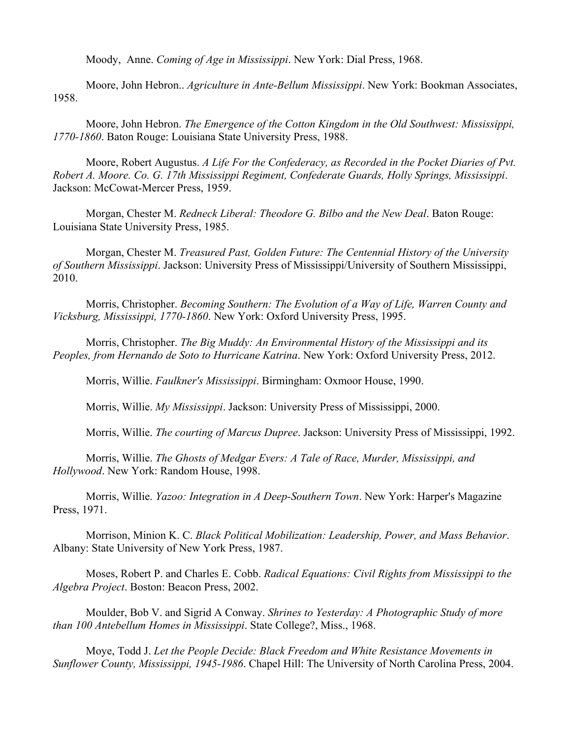Moody, Anne. *Coming of Age in Mississippi*. New York: Dial Press, 1968.

Moore, John Hebron.. *Agriculture in Ante-Bellum Mississippi*. New York: Bookman Associates, 1958.

Moore, John Hebron. *The Emergence of the Cotton Kingdom in the Old Southwest: Mississippi, 1770-1860*. Baton Rouge: Louisiana State University Press, 1988.

Moore, Robert Augustus. *A Life For the Confederacy, as Recorded in the Pocket Diaries of Pvt. Robert A. Moore. Co. G. 17th Mississippi Regiment, Confederate Guards, Holly Springs, Mississippi*. Jackson: McCowat-Mercer Press, 1959.

Morgan, Chester M. *Redneck Liberal: Theodore G. Bilbo and the New Deal*. Baton Rouge: Louisiana State University Press, 1985.

Morgan, Chester M. *Treasured Past, Golden Future: The Centennial History of the University of Southern Mississippi*. Jackson: University Press of Mississippi/University of Southern Mississippi, 2010.

Morris, Christopher. *Becoming Southern: The Evolution of a Way of Life, Warren County and Vicksburg, Mississippi, 1770-1860*. New York: Oxford University Press, 1995.

Morris, Christopher. *The Big Muddy: An Environmental History of the Mississippi and its Peoples, from Hernando de Soto to Hurricane Katrina*. New York: Oxford University Press, 2012.

Morris, Willie. *Faulkner's Mississippi*. Birmingham: Oxmoor House, 1990.

Morris, Willie. *My Mississippi*. Jackson: University Press of Mississippi, 2000.

Morris, Willie. *The courting of Marcus Dupree*. Jackson: University Press of Mississippi, 1992.

Morris, Willie. *The Ghosts of Medgar Evers: A Tale of Race, Murder, Mississippi, and Hollywood*. New York: Random House, 1998.

Morris, Willie. *Yazoo: Integration in A Deep-Southern Town*. New York: Harper's Magazine Press, 1971.

Morrison, Minion K. C. *Black Political Mobilization: Leadership, Power, and Mass Behavior*. Albany: State University of New York Press, 1987.

Moses, Robert P. and Charles E. Cobb. *Radical Equations: Civil Rights from Mississippi to the Algebra Project*. Boston: Beacon Press, 2002.

Moulder, Bob V. and Sigrid A Conway. *Shrines to Yesterday: A Photographic Study of more than 100 Antebellum Homes in Mississippi*. State College?, Miss., 1968.

Moye, Todd J. *Let the People Decide: Black Freedom and White Resistance Movements in Sunflower County, Mississippi, 1945-1986*. Chapel Hill: The University of North Carolina Press, 2004.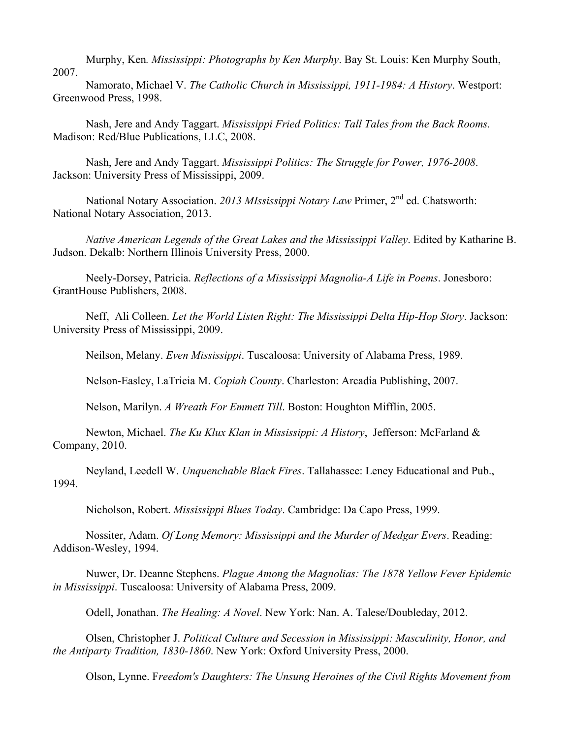Murphy, Ken*. Mississippi: Photographs by Ken Murphy*. Bay St. Louis: Ken Murphy South, 2007.

Namorato, Michael V. *The Catholic Church in Mississippi, 1911-1984: A History*. Westport: Greenwood Press, 1998.

Nash, Jere and Andy Taggart. *Mississippi Fried Politics: Tall Tales from the Back Rooms.* Madison: Red/Blue Publications, LLC, 2008.

Nash, Jere and Andy Taggart. *Mississippi Politics: The Struggle for Power, 1976-2008*. Jackson: University Press of Mississippi, 2009.

National Notary Association. *2013 MIssissippi Notary Law* Primer, 2nd ed. Chatsworth: National Notary Association, 2013.

*Native American Legends of the Great Lakes and the Mississippi Valley*. Edited by Katharine B. Judson. Dekalb: Northern Illinois University Press, 2000.

Neely-Dorsey, Patricia. *Reflections of a Mississippi Magnolia-A Life in Poems*. Jonesboro: GrantHouse Publishers, 2008.

Neff, Ali Colleen. *Let the World Listen Right: The Mississippi Delta Hip-Hop Story*. Jackson: University Press of Mississippi, 2009.

Neilson, Melany. *Even Mississippi*. Tuscaloosa: University of Alabama Press, 1989.

Nelson-Easley, LaTricia M. *Copiah County*. Charleston: Arcadia Publishing, 2007.

Nelson, Marilyn. *A Wreath For Emmett Till*. Boston: Houghton Mifflin, 2005.

Newton, Michael. *The Ku Klux Klan in Mississippi: A History*, Jefferson: McFarland & Company, 2010.

Neyland, Leedell W. *Unquenchable Black Fires*. Tallahassee: Leney Educational and Pub., 1994.

Nicholson, Robert. *Mississippi Blues Today*. Cambridge: Da Capo Press, 1999.

Nossiter, Adam. *Of Long Memory: Mississippi and the Murder of Medgar Evers*. Reading: Addison-Wesley, 1994.

Nuwer, Dr. Deanne Stephens. *Plague Among the Magnolias: The 1878 Yellow Fever Epidemic in Mississippi*. Tuscaloosa: University of Alabama Press, 2009.

Odell, Jonathan. *The Healing: A Novel*. New York: Nan. A. Talese/Doubleday, 2012.

Olsen, Christopher J. *Political Culture and Secession in Mississippi: Masculinity, Honor, and the Antiparty Tradition, 1830-1860*. New York: Oxford University Press, 2000.

Olson, Lynne. F*reedom's Daughters: The Unsung Heroines of the Civil Rights Movement from*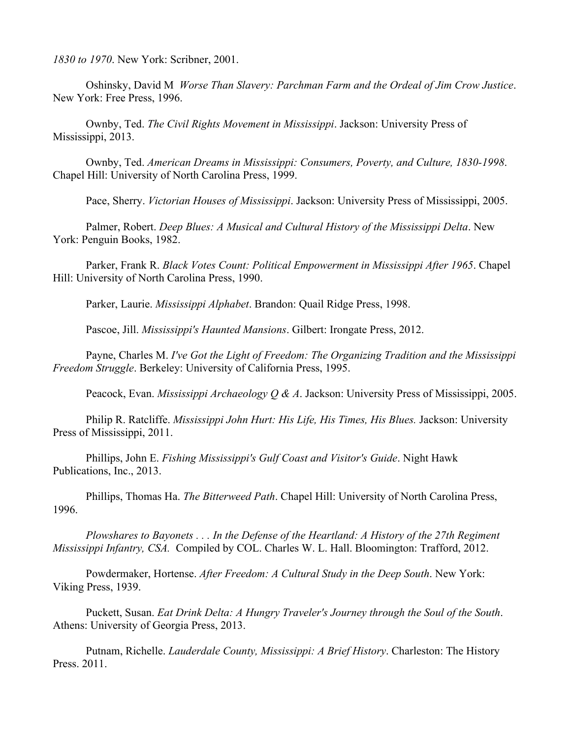*1830 to 1970*. New York: Scribner, 2001.

Oshinsky, David M *Worse Than Slavery: Parchman Farm and the Ordeal of Jim Crow Justice*. New York: Free Press, 1996.

Ownby, Ted. *The Civil Rights Movement in Mississippi*. Jackson: University Press of Mississippi, 2013.

Ownby, Ted. *American Dreams in Mississippi: Consumers, Poverty, and Culture, 1830-1998*. Chapel Hill: University of North Carolina Press, 1999.

Pace, Sherry. *Victorian Houses of Mississippi*. Jackson: University Press of Mississippi, 2005.

Palmer, Robert. *Deep Blues: A Musical and Cultural History of the Mississippi Delta*. New York: Penguin Books, 1982.

Parker, Frank R. *Black Votes Count: Political Empowerment in Mississippi After 1965*. Chapel Hill: University of North Carolina Press, 1990.

Parker, Laurie. *Mississippi Alphabet*. Brandon: Quail Ridge Press, 1998.

Pascoe, Jill. *Mississippi's Haunted Mansions*. Gilbert: Irongate Press, 2012.

Payne, Charles M. *I've Got the Light of Freedom: The Organizing Tradition and the Mississippi Freedom Struggle*. Berkeley: University of California Press, 1995.

Peacock, Evan. *Mississippi Archaeology Q & A*. Jackson: University Press of Mississippi, 2005.

Philip R. Ratcliffe. *Mississippi John Hurt: His Life, His Times, His Blues.* Jackson: University Press of Mississippi, 2011.

Phillips, John E. *Fishing Mississippi's Gulf Coast and Visitor's Guide*. Night Hawk Publications, Inc., 2013.

Phillips, Thomas Ha. *The Bitterweed Path*. Chapel Hill: University of North Carolina Press, 1996.

*Plowshares to Bayonets . . . In the Defense of the Heartland: A History of the 27th Regiment Mississippi Infantry, CSA.* Compiled by COL. Charles W. L. Hall. Bloomington: Trafford, 2012.

Powdermaker, Hortense. *After Freedom: A Cultural Study in the Deep South*. New York: Viking Press, 1939.

Puckett, Susan. *Eat Drink Delta: A Hungry Traveler's Journey through the Soul of the South*. Athens: University of Georgia Press, 2013.

Putnam, Richelle. *Lauderdale County, Mississippi: A Brief History*. Charleston: The History Press. 2011.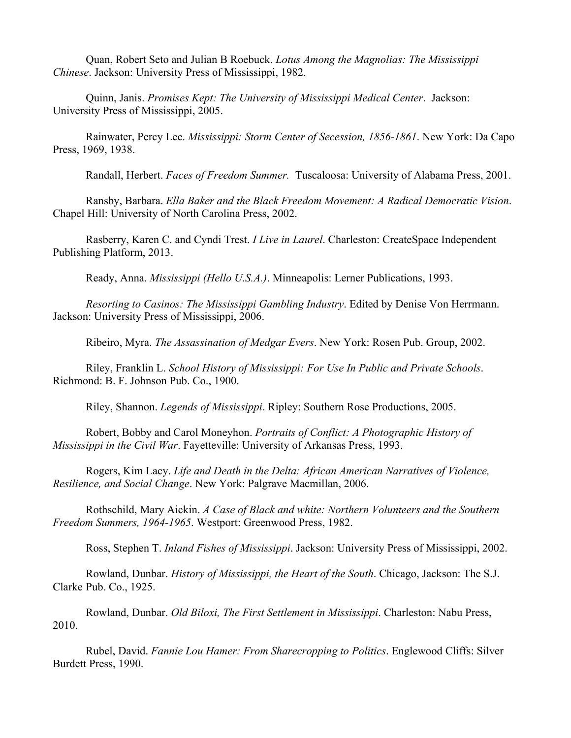Quan, Robert Seto and Julian B Roebuck. *Lotus Among the Magnolias: The Mississippi Chinese*. Jackson: University Press of Mississippi, 1982.

Quinn, Janis. *Promises Kept: The University of Mississippi Medical Center*. Jackson: University Press of Mississippi, 2005.

Rainwater, Percy Lee. *Mississippi: Storm Center of Secession, 1856-1861*. New York: Da Capo Press, 1969, 1938.

Randall, Herbert. *Faces of Freedom Summer.* Tuscaloosa: University of Alabama Press, 2001.

Ransby, Barbara. *Ella Baker and the Black Freedom Movement: A Radical Democratic Vision*. Chapel Hill: University of North Carolina Press, 2002.

Rasberry, Karen C. and Cyndi Trest. *I Live in Laurel*. Charleston: CreateSpace Independent Publishing Platform, 2013.

Ready, Anna. *Mississippi (Hello U.S.A.)*. Minneapolis: Lerner Publications, 1993.

*Resorting to Casinos: The Mississippi Gambling Industry*. Edited by Denise Von Herrmann. Jackson: University Press of Mississippi, 2006.

Ribeiro, Myra. *The Assassination of Medgar Evers*. New York: Rosen Pub. Group, 2002.

Riley, Franklin L. *School History of Mississippi: For Use In Public and Private Schools*. Richmond: B. F. Johnson Pub. Co., 1900.

Riley, Shannon. *Legends of Mississippi*. Ripley: Southern Rose Productions, 2005.

Robert, Bobby and Carol Moneyhon. *Portraits of Conflict: A Photographic History of Mississippi in the Civil War*. Fayetteville: University of Arkansas Press, 1993.

Rogers, Kim Lacy. *Life and Death in the Delta: African American Narratives of Violence, Resilience, and Social Change*. New York: Palgrave Macmillan, 2006.

Rothschild, Mary Aickin. *A Case of Black and white: Northern Volunteers and the Southern Freedom Summers, 1964-1965*. Westport: Greenwood Press, 1982.

Ross, Stephen T. *Inland Fishes of Mississippi*. Jackson: University Press of Mississippi, 2002.

Rowland, Dunbar. *History of Mississippi, the Heart of the South*. Chicago, Jackson: The S.J. Clarke Pub. Co., 1925.

Rowland, Dunbar. *Old Biloxi, The First Settlement in Mississippi*. Charleston: Nabu Press, 2010.

Rubel, David. *Fannie Lou Hamer: From Sharecropping to Politics*. Englewood Cliffs: Silver Burdett Press, 1990.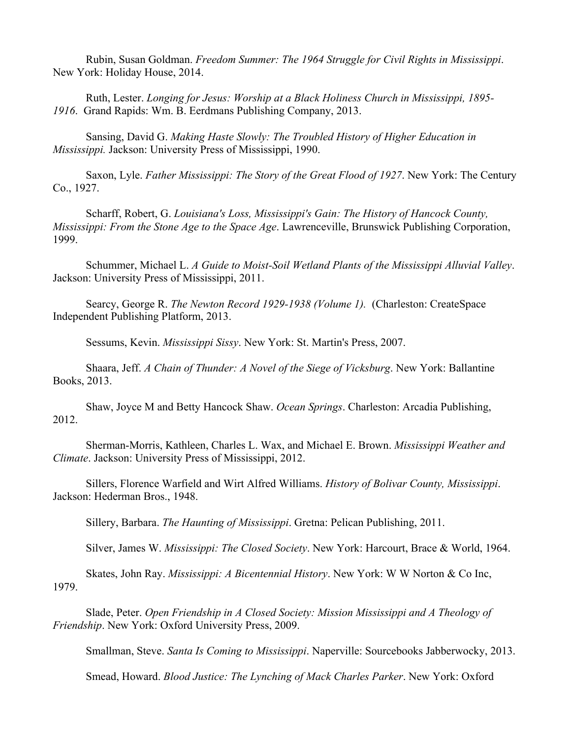Rubin, Susan Goldman. *Freedom Summer: The 1964 Struggle for Civil Rights in Mississippi*. New York: Holiday House, 2014.

Ruth, Lester. *Longing for Jesus: Worship at a Black Holiness Church in Mississippi, 1895- 1916*. Grand Rapids: Wm. B. Eerdmans Publishing Company, 2013.

Sansing, David G. *Making Haste Slowly: The Troubled History of Higher Education in Mississippi.* Jackson: University Press of Mississippi, 1990.

Saxon, Lyle. *Father Mississippi: The Story of the Great Flood of 1927*. New York: The Century Co., 1927.

Scharff, Robert, G. *Louisiana's Loss, Mississippi's Gain: The History of Hancock County, Mississippi: From the Stone Age to the Space Age*. Lawrenceville, Brunswick Publishing Corporation, 1999.

Schummer, Michael L. *A Guide to Moist-Soil Wetland Plants of the Mississippi Alluvial Valley*. Jackson: University Press of Mississippi, 2011.

Searcy, George R. *The Newton Record 1929-1938 (Volume 1).* (Charleston: CreateSpace Independent Publishing Platform, 2013.

Sessums, Kevin. *Mississippi Sissy*. New York: St. Martin's Press, 2007.

Shaara, Jeff. *A Chain of Thunder: A Novel of the Siege of Vicksburg*. New York: Ballantine Books, 2013.

Shaw, Joyce M and Betty Hancock Shaw. *Ocean Springs*. Charleston: Arcadia Publishing, 2012.

Sherman-Morris, Kathleen, Charles L. Wax, and Michael E. Brown. *Mississippi Weather and Climate*. Jackson: University Press of Mississippi, 2012.

Sillers, Florence Warfield and Wirt Alfred Williams. *History of Bolivar County, Mississippi*. Jackson: Hederman Bros., 1948.

Sillery, Barbara. *The Haunting of Mississippi*. Gretna: Pelican Publishing, 2011.

Silver, James W. *Mississippi: The Closed Society*. New York: Harcourt, Brace & World, 1964.

Skates, John Ray. *Mississippi: A Bicentennial History*. New York: W W Norton & Co Inc, 1979.

Slade, Peter. *Open Friendship in A Closed Society: Mission Mississippi and A Theology of Friendship*. New York: Oxford University Press, 2009.

Smallman, Steve. *Santa Is Coming to Mississippi*. Naperville: Sourcebooks Jabberwocky, 2013.

Smead, Howard. *Blood Justice: The Lynching of Mack Charles Parker*. New York: Oxford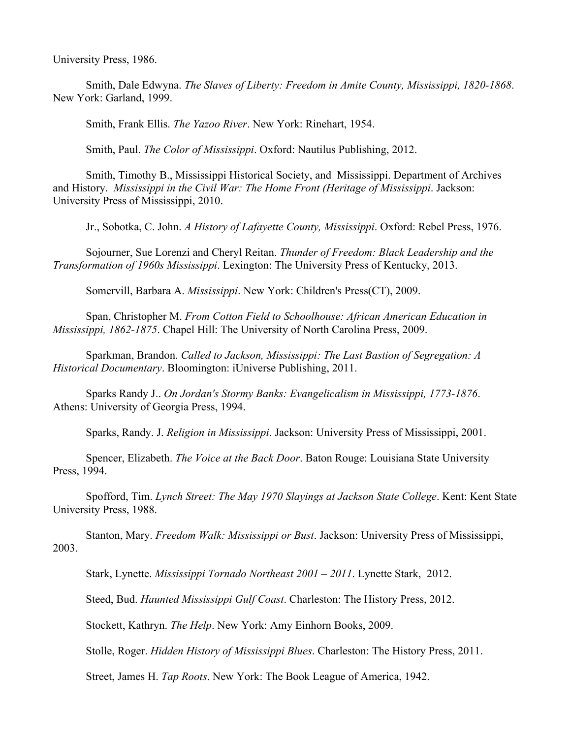University Press, 1986.

Smith, Dale Edwyna. *The Slaves of Liberty: Freedom in Amite County, Mississippi, 1820-1868*. New York: Garland, 1999.

Smith, Frank Ellis. *The Yazoo River*. New York: Rinehart, 1954.

Smith, Paul. *The Color of Mississippi*. Oxford: Nautilus Publishing, 2012.

Smith, Timothy B., Mississippi Historical Society, and Mississippi. Department of Archives and History. *Mississippi in the Civil War: The Home Front (Heritage of Mississippi*. Jackson: University Press of Mississippi, 2010.

Jr., Sobotka, C. John. *A History of Lafayette County, Mississippi*. Oxford: Rebel Press, 1976.

Sojourner, Sue Lorenzi and Cheryl Reitan. *Thunder of Freedom: Black Leadership and the Transformation of 1960s Mississippi*. Lexington: The University Press of Kentucky, 2013.

Somervill, Barbara A. *Mississippi*. New York: Children's Press(CT), 2009.

Span, Christopher M. *From Cotton Field to Schoolhouse: African American Education in Mississippi, 1862-1875*. Chapel Hill: The University of North Carolina Press, 2009.

Sparkman, Brandon. *Called to Jackson, Mississippi: The Last Bastion of Segregation: A Historical Documentary*. Bloomington: iUniverse Publishing, 2011.

Sparks Randy J.. *On Jordan's Stormy Banks: Evangelicalism in Mississippi, 1773-1876*. Athens: University of Georgia Press, 1994.

Sparks, Randy. J. *Religion in Mississippi*. Jackson: University Press of Mississippi, 2001.

Spencer, Elizabeth. *The Voice at the Back Door*. Baton Rouge: Louisiana State University Press, 1994.

Spofford, Tim. *Lynch Street: The May 1970 Slayings at Jackson State College*. Kent: Kent State University Press, 1988.

Stanton, Mary. *Freedom Walk: Mississippi or Bust*. Jackson: University Press of Mississippi, 2003.

Stark, Lynette. *Mississippi Tornado Northeast 2001 – 2011*. Lynette Stark, 2012.

Steed, Bud. *Haunted Mississippi Gulf Coast*. Charleston: The History Press, 2012.

Stockett, Kathryn. *The Help*. New York: Amy Einhorn Books, 2009.

Stolle, Roger. *Hidden History of Mississippi Blues*. Charleston: The History Press, 2011.

Street, James H. *Tap Roots*. New York: The Book League of America, 1942.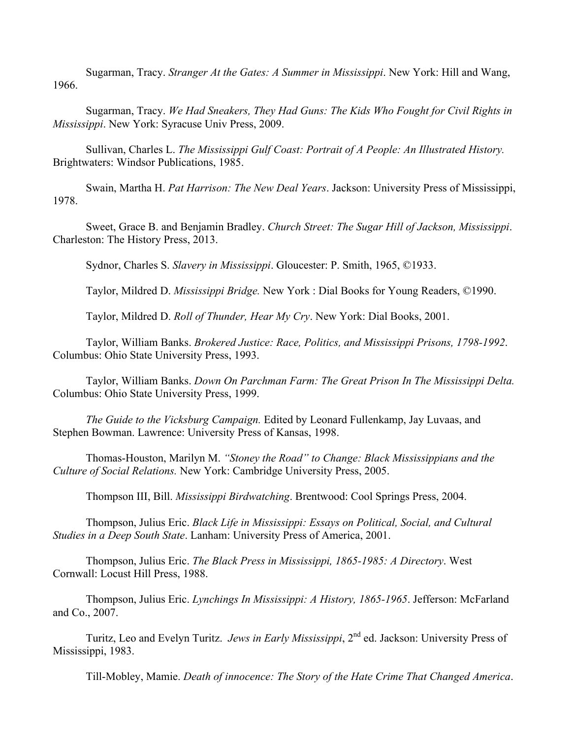Sugarman, Tracy. *Stranger At the Gates: A Summer in Mississippi*. New York: Hill and Wang, 1966.

Sugarman, Tracy. *We Had Sneakers, They Had Guns: The Kids Who Fought for Civil Rights in Mississippi*. New York: Syracuse Univ Press, 2009.

Sullivan, Charles L. *The Mississippi Gulf Coast: Portrait of A People: An Illustrated History.*  Brightwaters: Windsor Publications, 1985.

Swain, Martha H. *Pat Harrison: The New Deal Years*. Jackson: University Press of Mississippi, 1978.

Sweet, Grace B. and Benjamin Bradley. *Church Street: The Sugar Hill of Jackson, Mississippi*. Charleston: The History Press, 2013.

Sydnor, Charles S. *Slavery in Mississippi*. Gloucester: P. Smith, 1965, ©1933.

Taylor, Mildred D. *Mississippi Bridge.* New York : Dial Books for Young Readers, ©1990.

Taylor, Mildred D. *Roll of Thunder, Hear My Cry*. New York: Dial Books, 2001.

Taylor, William Banks. *Brokered Justice: Race, Politics, and Mississippi Prisons, 1798-1992*. Columbus: Ohio State University Press, 1993.

Taylor, William Banks. *Down On Parchman Farm: The Great Prison In The Mississippi Delta.* Columbus: Ohio State University Press, 1999.

*The Guide to the Vicksburg Campaign.* Edited by Leonard Fullenkamp, Jay Luvaas, and Stephen Bowman. Lawrence: University Press of Kansas, 1998.

Thomas-Houston, Marilyn M. *"Stoney the Road" to Change: Black Mississippians and the Culture of Social Relations.* New York: Cambridge University Press, 2005.

Thompson III, Bill. *Mississippi Birdwatching*. Brentwood: Cool Springs Press, 2004.

Thompson, Julius Eric. *Black Life in Mississippi: Essays on Political, Social, and Cultural Studies in a Deep South State*. Lanham: University Press of America, 2001.

Thompson, Julius Eric. *The Black Press in Mississippi, 1865-1985: A Directory*. West Cornwall: Locust Hill Press, 1988.

Thompson, Julius Eric. *Lynchings In Mississippi: A History, 1865-1965*. Jefferson: McFarland and Co., 2007.

Turitz, Leo and Evelyn Turitz. *Jews in Early Mississippi*, 2<sup>nd</sup> ed. Jackson: University Press of Mississippi, 1983.

Till-Mobley, Mamie. *Death of innocence: The Story of the Hate Crime That Changed America*.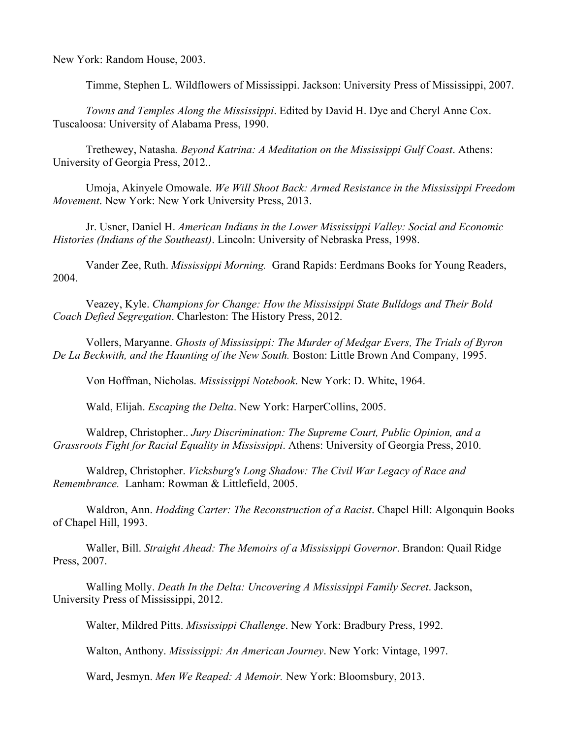New York: Random House, 2003.

Timme, Stephen L. Wildflowers of Mississippi. Jackson: University Press of Mississippi, 2007.

*Towns and Temples Along the Mississippi*. Edited by David H. Dye and Cheryl Anne Cox. Tuscaloosa: University of Alabama Press, 1990.

Trethewey, Natasha*. Beyond Katrina: A Meditation on the Mississippi Gulf Coast*. Athens: University of Georgia Press, 2012..

Umoja, Akinyele Omowale. *We Will Shoot Back: Armed Resistance in the Mississippi Freedom Movement*. New York: New York University Press, 2013.

Jr. Usner, Daniel H. *American Indians in the Lower Mississippi Valley: Social and Economic Histories (Indians of the Southeast)*. Lincoln: University of Nebraska Press, 1998.

Vander Zee, Ruth. *Mississippi Morning.* Grand Rapids: Eerdmans Books for Young Readers, 2004.

Veazey, Kyle. *Champions for Change: How the Mississippi State Bulldogs and Their Bold Coach Defied Segregation*. Charleston: The History Press, 2012.

Vollers, Maryanne. *Ghosts of Mississippi: The Murder of Medgar Evers, The Trials of Byron De La Beckwith, and the Haunting of the New South.* Boston: Little Brown And Company, 1995.

Von Hoffman, Nicholas. *Mississippi Notebook*. New York: D. White, 1964.

Wald, Elijah. *Escaping the Delta*. New York: HarperCollins, 2005.

Waldrep, Christopher.. *Jury Discrimination: The Supreme Court, Public Opinion, and a Grassroots Fight for Racial Equality in Mississippi*. Athens: University of Georgia Press, 2010.

Waldrep, Christopher. *Vicksburg's Long Shadow: The Civil War Legacy of Race and Remembrance.* Lanham: Rowman & Littlefield, 2005.

Waldron, Ann. *Hodding Carter: The Reconstruction of a Racist*. Chapel Hill: Algonquin Books of Chapel Hill, 1993.

Waller, Bill. *Straight Ahead: The Memoirs of a Mississippi Governor*. Brandon: Quail Ridge Press, 2007.

Walling Molly. *Death In the Delta: Uncovering A Mississippi Family Secret*. Jackson, University Press of Mississippi, 2012.

Walter, Mildred Pitts. *Mississippi Challenge*. New York: Bradbury Press, 1992.

Walton, Anthony. *Mississippi: An American Journey*. New York: Vintage, 1997.

Ward, Jesmyn. *Men We Reaped: A Memoir.* New York: Bloomsbury, 2013.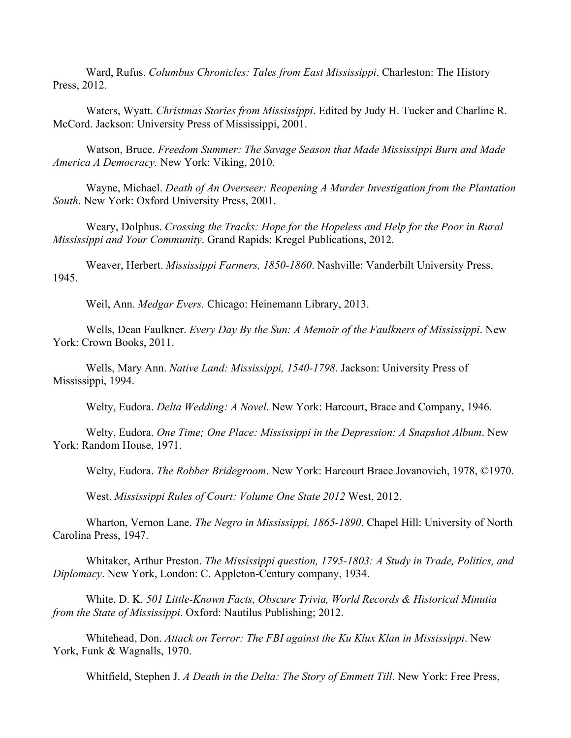Ward, Rufus. *Columbus Chronicles: Tales from East Mississippi*. Charleston: The History Press, 2012.

Waters, Wyatt. *Christmas Stories from Mississippi*. Edited by Judy H. Tucker and Charline R. McCord. Jackson: University Press of Mississippi, 2001.

Watson, Bruce. *Freedom Summer: The Savage Season that Made Mississippi Burn and Made America A Democracy.* New York: Viking, 2010.

Wayne, Michael. *Death of An Overseer: Reopening A Murder Investigation from the Plantation South*. New York: Oxford University Press, 2001.

Weary, Dolphus. *Crossing the Tracks: Hope for the Hopeless and Help for the Poor in Rural Mississippi and Your Community*. Grand Rapids: Kregel Publications, 2012.

Weaver, Herbert. *Mississippi Farmers, 1850-1860*. Nashville: Vanderbilt University Press, 1945.

Weil, Ann. *Medgar Evers.* Chicago: Heinemann Library, 2013.

Wells, Dean Faulkner. *Every Day By the Sun: A Memoir of the Faulkners of Mississippi*. New York: Crown Books, 2011.

Wells, Mary Ann. *Native Land: Mississippi, 1540-1798*. Jackson: University Press of Mississippi, 1994.

Welty, Eudora. *Delta Wedding: A Novel*. New York: Harcourt, Brace and Company, 1946.

Welty, Eudora. *One Time; One Place: Mississippi in the Depression: A Snapshot Album*. New York: Random House, 1971.

Welty, Eudora. *The Robber Bridegroom*. New York: Harcourt Brace Jovanovich, 1978, ©1970.

West. *Mississippi Rules of Court: Volume One State 2012* West, 2012.

Wharton, Vernon Lane. *The Negro in Mississippi, 1865-1890*. Chapel Hill: University of North Carolina Press, 1947.

Whitaker, Arthur Preston. *The Mississippi question, 1795-1803: A Study in Trade, Politics, and Diplomacy*. New York, London: C. Appleton-Century company, 1934.

White, D. K. *501 Little-Known Facts, Obscure Trivia, World Records & Historical Minutia from the State of Mississippi*. Oxford: Nautilus Publishing; 2012.

Whitehead, Don. *Attack on Terror: The FBI against the Ku Klux Klan in Mississippi*. New York, Funk & Wagnalls, 1970.

Whitfield, Stephen J. *A Death in the Delta: The Story of Emmett Till*. New York: Free Press,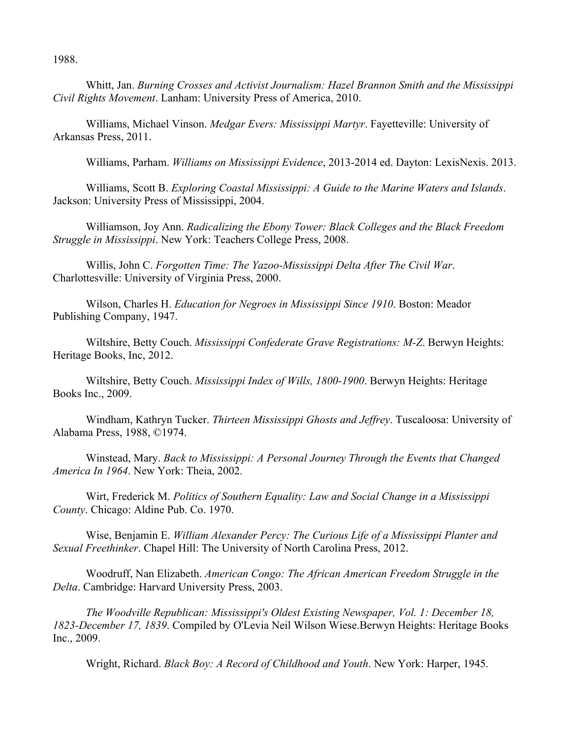1988.

Whitt, Jan. *Burning Crosses and Activist Journalism: Hazel Brannon Smith and the Mississippi Civil Rights Movement*. Lanham: University Press of America, 2010.

Williams, Michael Vinson. *Medgar Evers: Mississippi Martyr*. Fayetteville: University of Arkansas Press, 2011.

Williams, Parham. *Williams on Mississippi Evidence*, 2013-2014 ed. Dayton: LexisNexis. 2013.

Williams, Scott B. *Exploring Coastal Mississippi: A Guide to the Marine Waters and Islands*. Jackson: University Press of Mississippi, 2004.

Williamson, Joy Ann. *Radicalizing the Ebony Tower: Black Colleges and the Black Freedom Struggle in Mississippi*. New York: Teachers College Press, 2008.

Willis, John C. *Forgotten Time: The Yazoo-Mississippi Delta After The Civil War*. Charlottesville: University of Virginia Press, 2000.

Wilson, Charles H. *Education for Negroes in Mississippi Since 1910*. Boston: Meador Publishing Company, 1947.

Wiltshire, Betty Couch. *Mississippi Confederate Grave Registrations: M-Z*. Berwyn Heights: Heritage Books, Inc, 2012.

Wiltshire, Betty Couch. *Mississippi Index of Wills, 1800-1900*. Berwyn Heights: Heritage Books Inc., 2009.

Windham, Kathryn Tucker. *Thirteen Mississippi Ghosts and Jeffrey*. Tuscaloosa: University of Alabama Press, 1988, ©1974.

Winstead, Mary. *Back to Mississippi: A Personal Journey Through the Events that Changed America In 1964*. New York: Theia, 2002.

Wirt, Frederick M. *Politics of Southern Equality: Law and Social Change in a Mississippi County*. Chicago: Aldine Pub. Co. 1970.

Wise, Benjamin E. *William Alexander Percy: The Curious Life of a Mississippi Planter and Sexual Freethinker*. Chapel Hill: The University of North Carolina Press, 2012.

Woodruff, Nan Elizabeth. *American Congo: The African American Freedom Struggle in the Delta*. Cambridge: Harvard University Press, 2003.

*The Woodville Republican: Mississippi's Oldest Existing Newspaper, Vol. 1: December 18, 1823-December 17, 1839*. Compiled by O'Levia Neil Wilson Wiese.Berwyn Heights: Heritage Books Inc., 2009.

Wright, Richard. *Black Boy: A Record of Childhood and Youth*. New York: Harper, 1945.